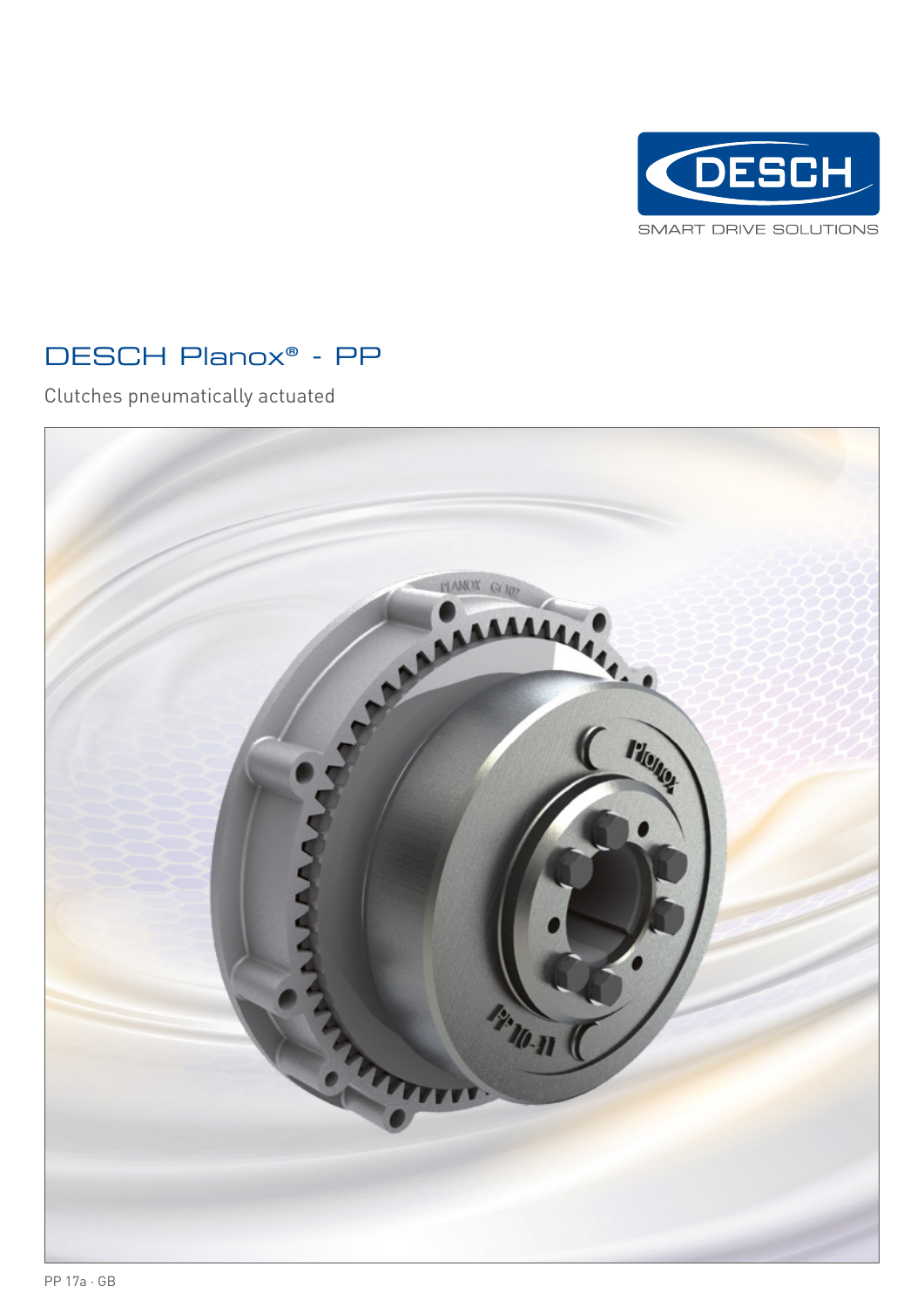

# DESCH Planox® - PP

Clutches pneumatically actuated

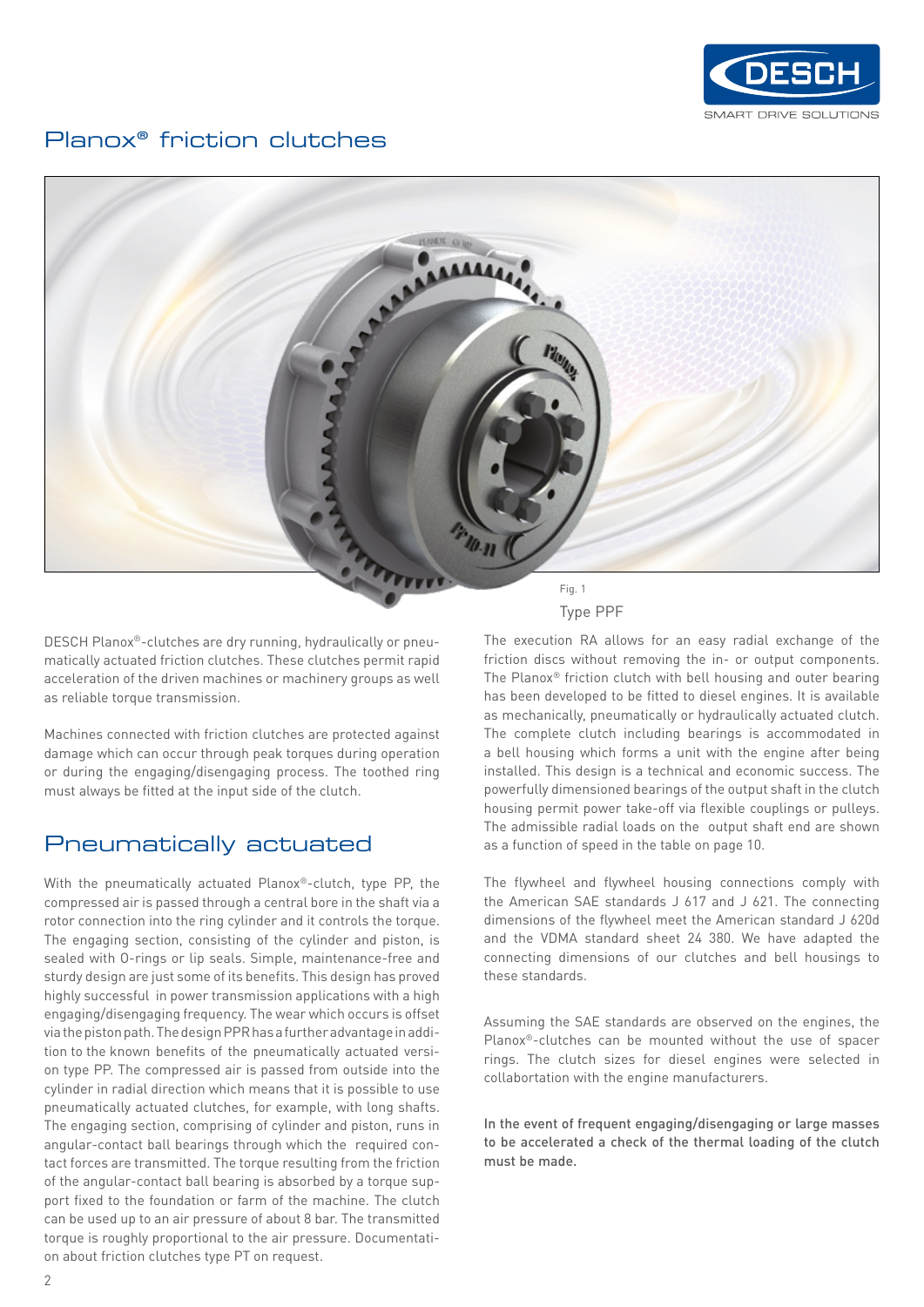

#### Planox® friction clutches



DESCH Planox®-clutches are dry running, hydraulically or pneumatically actuated friction clutches. These clutches permit rapid acceleration of the driven machines or machinery groups as well as reliable torque transmission.

Machines connected with friction clutches are protected against damage which can occur through peak torques during operation or during the engaging/disengaging process. The toothed ring must always be fitted at the input side of the clutch.

### Pneumatically actuated

With the pneumatically actuated Planox®-clutch, type PP, the compressed air is passed through a central bore in the shaft via a rotor connection into the ring cylinder and it controls the torque. The engaging section, consisting of the cylinder and piston, is sealed with O-rings or lip seals. Simple, maintenance-free and sturdy design are just some of its benefits. This design has proved highly successful in power transmission applications with a high engaging/disengaging frequency. The wear which occurs is offset via the piston path. The design PPR has a further advantage in addition to the known benefits of the pneumatically actuated version type PP. The compressed air is passed from outside into the cylinder in radial direction which means that it is possible to use pneumatically actuated clutches, for example, with long shafts. The engaging section, comprising of cylinder and piston, runs in angular-contact ball bearings through which the required contact forces are transmitted. The torque resulting from the friction of the angular-contact ball bearing is absorbed by a torque support fixed to the foundation or farm of the machine. The clutch can be used up to an air pressure of about 8 bar. The transmitted torque is roughly proportional to the air pressure. Documentation about friction clutches type PT on request.

The execution RA allows for an easy radial exchange of the friction discs without removing the in- or output components. The Planox® friction clutch with bell housing and outer bearing has been developed to be fitted to diesel engines. It is available as mechanically, pneumatically or hydraulically actuated clutch. The complete clutch including bearings is accommodated in a bell housing which forms a unit with the engine after being installed. This design is a technical and economic success. The powerfully dimensioned bearings of the output shaft in the clutch housing permit power take-off via flexible couplings or pulleys. The admissible radial loads on the output shaft end are shown as a function of speed in the table on page 10.

The flywheel and flywheel housing connections comply with the American SAE standards J 617 and J 621. The connecting dimensions of the flywheel meet the American standard J 620d and the VDMA standard sheet 24 380. We have adapted the connecting dimensions of our clutches and bell housings to these standards.

Assuming the SAE standards are observed on the engines, the Planox®-clutches can be mounted without the use of spacer rings. The clutch sizes for diesel engines were selected in collabortation with the engine manufacturers.

In the event of frequent engaging/disengaging or large masses to be accelerated a check of the thermal loading of the clutch must be made.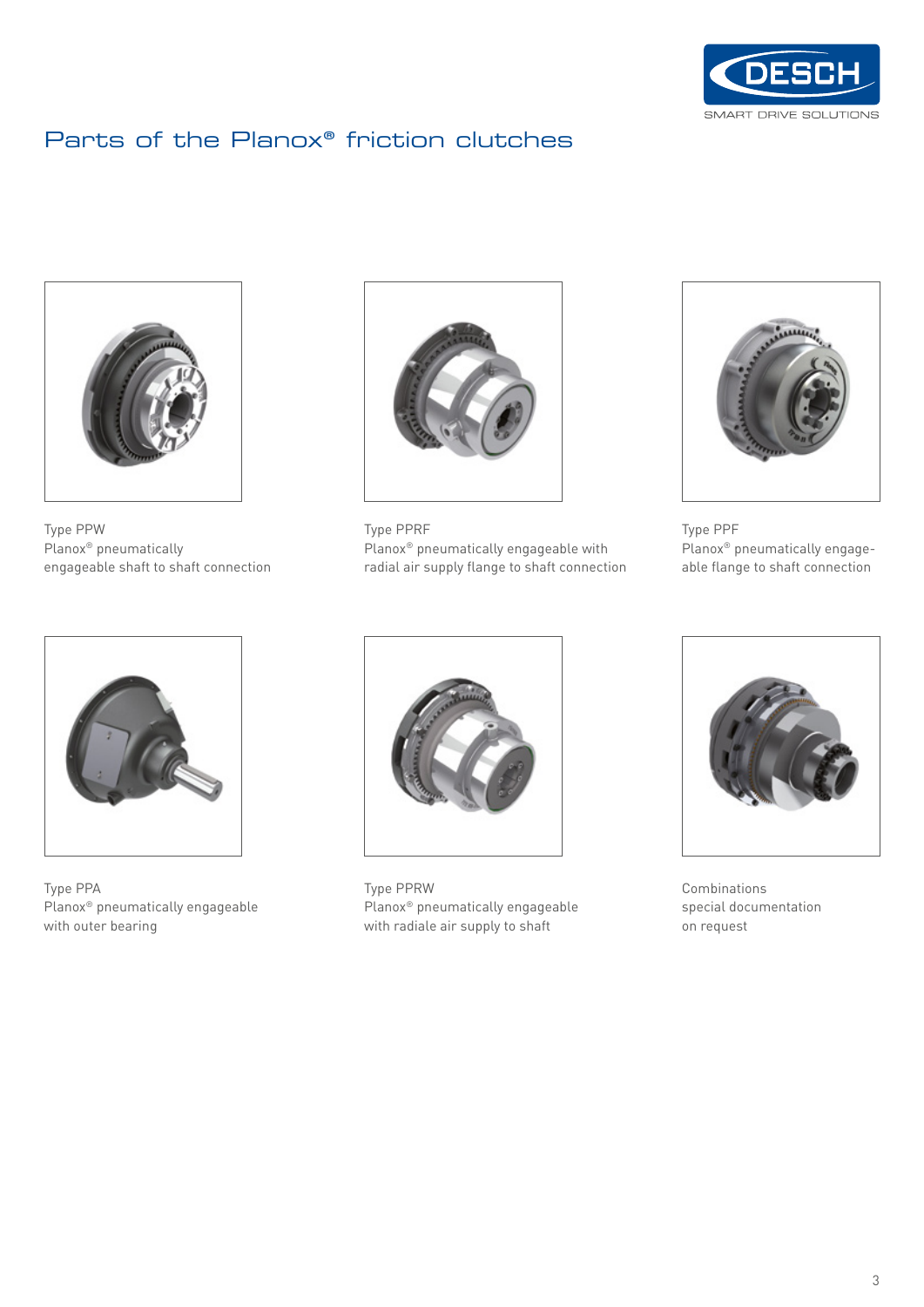

# Parts of the Planox® friction clutches



Type PPW Planox® pneumatically engageable shaft to shaft connection



Type PPA Planox® pneumatically engageable with outer bearing



Type PPRF Planox® pneumatically engageable with radial air supply flange to shaft connection



Type PPF Planox® pneumatically engageable flange to shaft connection



Type PPRW Planox® pneumatically engageable with radiale air supply to shaft



Combinations special documentation on request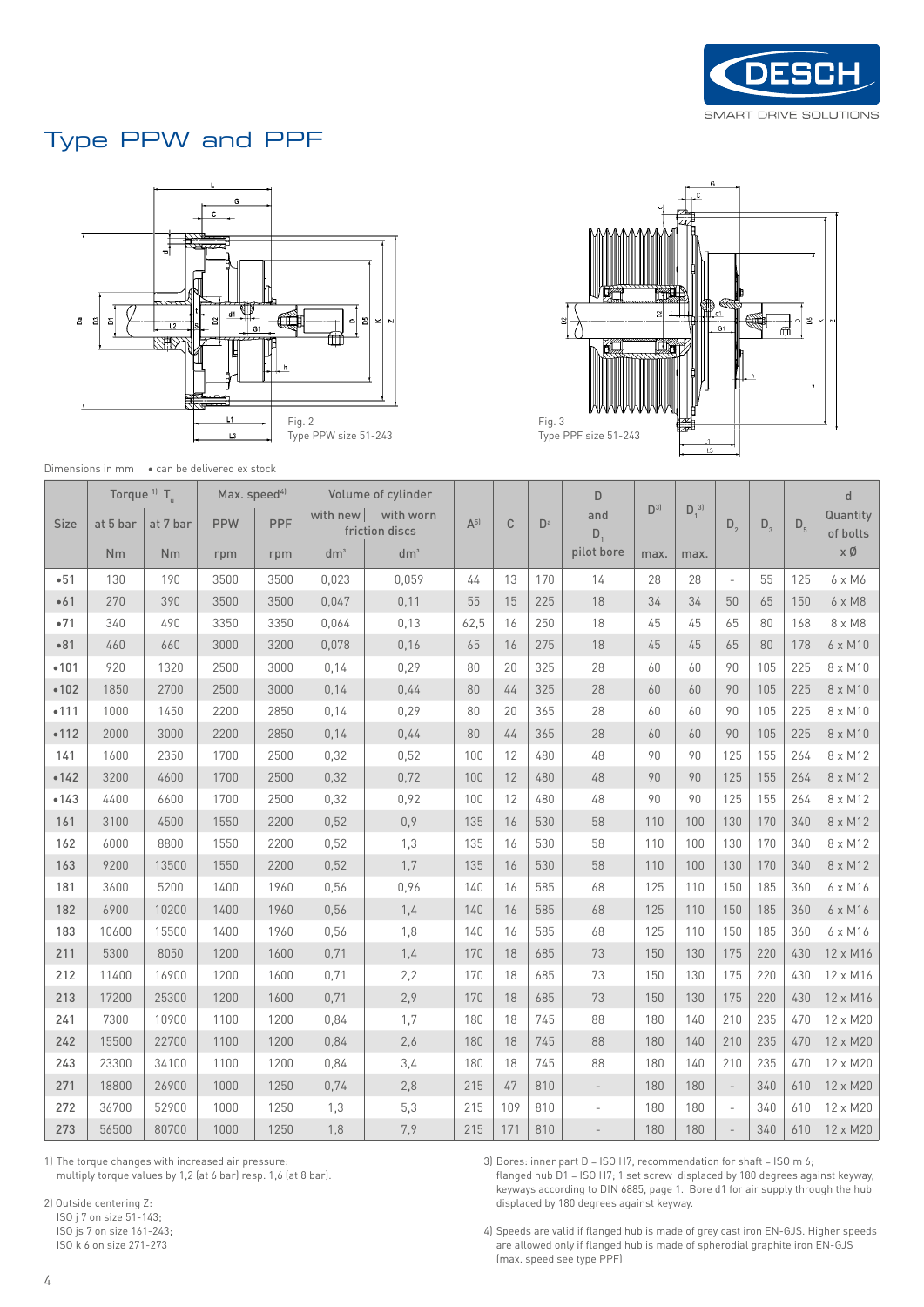

### Type PPW and PPF





Dimensions in mm • can be delivered ex stock

|      | Torque <sup>11</sup> $T_a$ |           | Max. speed <sup>4)</sup> |      |          | Volume of cylinder          |         |              |                | D                        |                |              |                          |       |         | d                    |
|------|----------------------------|-----------|--------------------------|------|----------|-----------------------------|---------|--------------|----------------|--------------------------|----------------|--------------|--------------------------|-------|---------|----------------------|
| Size | at 5 bar                   | at 7 bar  | <b>PPW</b>               | PPF  | with new | with worn<br>friction discs | $A^{5}$ | $\mathbb{C}$ | D <sup>a</sup> | and                      | D <sup>3</sup> | $D_1^{\ 3]}$ | $D_{2}$                  | $D_3$ | $D_{5}$ | Quantity<br>of bolts |
|      | <b>Nm</b>                  | <b>Nm</b> | rpm                      | rpm  | $dm^3$   | dm <sup>3</sup>             |         |              |                | $D_1$<br>pilot bore      | max.           | max.         |                          |       |         | хØ                   |
| •51  | 130                        | 190       | 3500                     | 3500 | 0,023    | 0,059                       | 44      | 13           | 170            | 14                       | 28             | 28           | $\overline{\phantom{a}}$ | 55    | 125     | 6 x M6               |
| •61  | 270                        | 390       | 3500                     | 3500 | 0,047    | 0,11                        | 55      | 15           | 225            | 18                       | 34             | 34           | 50                       | 65    | 150     | 6 x M8               |
| •71  | 340                        | 490       | 3350                     | 3350 | 0,064    | 0,13                        | 62,5    | 16           | 250            | 18                       | 45             | 45           | 65                       | 80    | 168     | 8 x M8               |
| •81  | 460                        | 660       | 3000                     | 3200 | 0,078    | 0,16                        | 65      | 16           | 275            | 18                       | 45             | 45           | 65                       | 80    | 178     | 6 x M10              |
| •101 | 920                        | 1320      | 2500                     | 3000 | 0,14     | 0,29                        | 80      | 20           | 325            | 28                       | 60             | 60           | 90                       | 105   | 225     | 8 x M10              |
| •102 | 1850                       | 2700      | 2500                     | 3000 | 0,14     | 0,44                        | 80      | 44           | 325            | 28                       | 60             | 60           | 90                       | 105   | 225     | 8 x M10              |
| •111 | 1000                       | 1450      | 2200                     | 2850 | 0,14     | 0,29                        | 80      | 20           | 365            | 28                       | 60             | 60           | 90                       | 105   | 225     | 8 x M10              |
| •112 | 2000                       | 3000      | 2200                     | 2850 | 0,14     | 0,44                        | 80      | 44           | 365            | 28                       | 60             | 60           | 90                       | 105   | 225     | 8 x M10              |
| 141  | 1600                       | 2350      | 1700                     | 2500 | 0,32     | 0,52                        | 100     | 12           | 480            | 48                       | 90             | 90           | 125                      | 155   | 264     | 8 x M12              |
| •142 | 3200                       | 4600      | 1700                     | 2500 | 0,32     | 0,72                        | 100     | 12           | 480            | 48                       | 90             | 90           | 125                      | 155   | 264     | 8 x M12              |
| •143 | 4400                       | 6600      | 1700                     | 2500 | 0,32     | 0,92                        | 100     | 12           | 480            | 48                       | 90             | 90           | 125                      | 155   | 264     | 8 x M12              |
| 161  | 3100                       | 4500      | 1550                     | 2200 | 0,52     | 0,9                         | 135     | 16           | 530            | 58                       | 110            | 100          | 130                      | 170   | 340     | 8 x M12              |
| 162  | 6000                       | 8800      | 1550                     | 2200 | 0,52     | 1,3                         | 135     | 16           | 530            | 58                       | 110            | 100          | 130                      | 170   | 340     | 8 x M12              |
| 163  | 9200                       | 13500     | 1550                     | 2200 | 0,52     | 1,7                         | 135     | 16           | 530            | 58                       | 110            | 100          | 130                      | 170   | 340     | 8 x M12              |
| 181  | 3600                       | 5200      | 1400                     | 1960 | 0,56     | 0,96                        | 140     | 16           | 585            | 68                       | 125            | 110          | 150                      | 185   | 360     | 6 x M16              |
| 182  | 6900                       | 10200     | 1400                     | 1960 | 0,56     | 1,4                         | 140     | 16           | 585            | 68                       | 125            | 110          | 150                      | 185   | 360     | 6 x M16              |
| 183  | 10600                      | 15500     | 1400                     | 1960 | 0,56     | 1,8                         | 140     | 16           | 585            | 68                       | 125            | 110          | 150                      | 185   | 360     | 6 x M16              |
| 211  | 5300                       | 8050      | 1200                     | 1600 | 0,71     | 1,4                         | 170     | 18           | 685            | 73                       | 150            | 130          | 175                      | 220   | 430     | 12 x M16             |
| 212  | 11400                      | 16900     | 1200                     | 1600 | 0,71     | 2,2                         | 170     | 18           | 685            | 73                       | 150            | 130          | 175                      | 220   | 430     | 12 x M16             |
| 213  | 17200                      | 25300     | 1200                     | 1600 | 0,71     | 2,9                         | 170     | 18           | 685            | 73                       | 150            | 130          | 175                      | 220   | 430     | 12 x M16             |
| 241  | 7300                       | 10900     | 1100                     | 1200 | 0,84     | 1,7                         | 180     | 18           | 745            | 88                       | 180            | 140          | 210                      | 235   | 470     | 12 x M20             |
| 242  | 15500                      | 22700     | 1100                     | 1200 | 0,84     | 2,6                         | 180     | 18           | 745            | 88                       | 180            | 140          | 210                      | 235   | 470     | 12 x M20             |
| 243  | 23300                      | 34100     | 1100                     | 1200 | 0,84     | 3,4                         | 180     | 18           | 745            | 88                       | 180            | 140          | 210                      | 235   | 470     | 12 x M20             |
| 271  | 18800                      | 26900     | 1000                     | 1250 | 0,74     | 2,8                         | 215     | 47           | 810            | $\overline{\phantom{a}}$ | 180            | 180          | $\mathcal{L}$            | 340   | 610     | 12 x M20             |
| 272  | 36700                      | 52900     | 1000                     | 1250 | 1,3      | 5,3                         | 215     | 109          | 810            | Ĭ.                       | 180            | 180          | $\overline{\phantom{a}}$ | 340   | 610     | 12 x M20             |
| 273  | 56500                      | 80700     | 1000                     | 1250 | 1,8      | 7,9                         | 215     | 171          | 810            |                          | 180            | 180          |                          | 340   | 610     | 12 x M20             |

1) The torque changes with increased air pressure: multiply torque values by 1,2 (at 6 bar) resp. 1,6 (at 8 bar).

2) Outside centering Z:

ISO j 7 on size 51-143; ISO js 7 on size 161-243;

ISO k 6 on size 271-273

3) Bores: inner part D = ISO H7, recommendation for shaft = ISO m 6;

flanged hub D1 = ISO H7; 1 set screw displaced by 180 degrees against keyway, keyways according to DIN 6885, page 1. Bore d1 for air supply through the hub displaced by 180 degrees against keyway.

4) Speeds are valid if flanged hub is made of grey cast iron EN-GJS. Higher speeds are allowed only if flanged hub is made of spherodial graphite iron EN-GJS (max. speed see type PPF)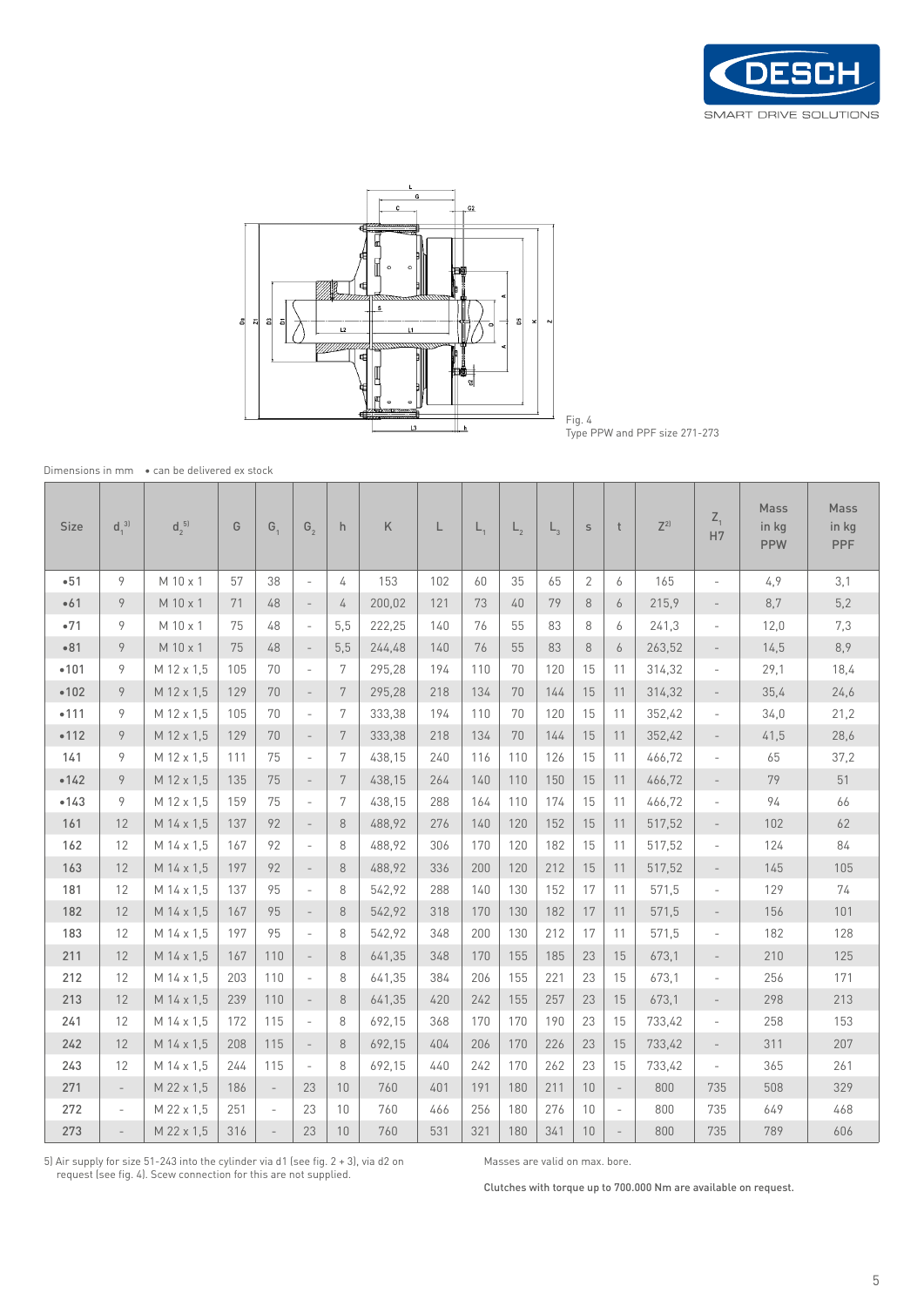



Fig. 4 Type PPW and PPF size 271-273

Dimensions in mm • can be delivered ex stock

| <b>Size</b> | $d_1^{\ 3]}$             | $d_2^{5}$  | G   | G,                       | $G_{2}$                  | h              | K      | L   | $L_{1}$ | $L_{2}$ | $\mathsf{L}_{\mathrm{2}}$ | $\mathsf{S}$ | t                        | $7^{2}$ | $Z_{1}$<br>H7            | Mass<br>in kg<br><b>PPW</b> | Mass<br>in kg<br><b>PPF</b> |
|-------------|--------------------------|------------|-----|--------------------------|--------------------------|----------------|--------|-----|---------|---------|---------------------------|--------------|--------------------------|---------|--------------------------|-----------------------------|-----------------------------|
| $-51$       | 9                        | M 10 x 1   | 57  | 38                       | $\overline{\phantom{a}}$ | 4              | 153    | 102 | 60      | 35      | 65                        | 2            | 6                        | 165     | $\overline{\phantom{m}}$ | 4,9                         | 3,1                         |
| •61         | 9                        | M 10 x 1   | 71  | 48                       | $\overline{\phantom{a}}$ | 4              | 200,02 | 121 | 73      | 40      | 79                        | 8            | 6                        | 215,9   | $\overline{\phantom{a}}$ | 8,7                         | 5,2                         |
| •71         | 9                        | M 10 x 1   | 75  | 48                       | $\overline{\phantom{a}}$ | 5.5            | 222,25 | 140 | 76      | 55      | 83                        | 8            | 6                        | 241,3   | $\overline{\phantom{a}}$ | 12,0                        | 7,3                         |
| •81         | 9                        | M 10 x 1   | 75  | 48                       |                          | 5,5            | 244,48 | 140 | 76      | 55      | 83                        | 8            | 6                        | 263,52  | $\overline{\phantom{a}}$ | 14,5                        | 8,9                         |
| •101        | 9                        | M 12 x 1,5 | 105 | 70                       | $\overline{\phantom{a}}$ | 7              | 295.28 | 194 | 110     | 70      | 120                       | 15           | 11                       | 314,32  | $\overline{\phantom{a}}$ | 29,1                        | 18,4                        |
| •102        | 9                        | M 12 x 1,5 | 129 | 70                       |                          | 7              | 295,28 | 218 | 134     | 70      | 144                       | 15           | 11                       | 314,32  | $\overline{\phantom{a}}$ | 35,4                        | 24,6                        |
| •111        | 9                        | M 12 x 1,5 | 105 | 70                       | $\overline{a}$           | 7              | 333,38 | 194 | 110     | 70      | 120                       | 15           | 11                       | 352,42  | $\overline{\phantom{a}}$ | 34,0                        | 21,2                        |
| •112        | 9                        | M 12 x 1,5 | 129 | 70                       | $\overline{\phantom{a}}$ | 7              | 333,38 | 218 | 134     | 70      | 144                       | 15           | 11                       | 352,42  | $\overline{\phantom{0}}$ | 41,5                        | 28,6                        |
| 141         | 9                        | M 12 x 1.5 | 111 | 75                       |                          | $7\phantom{.}$ | 438,15 | 240 | 116     | 110     | 126                       | 15           | 11                       | 466,72  | $\overline{\phantom{a}}$ | 65                          | 37,2                        |
| •142        | 9                        | M 12 x 1.5 | 135 | 75                       | $\overline{\phantom{a}}$ | 7              | 438,15 | 264 | 140     | 110     | 150                       | 15           | 11                       | 466,72  | $\overline{\phantom{a}}$ | 79                          | 51                          |
| •143        | 9                        | M 12 x 1,5 | 159 | 75                       | ٠                        | 7              | 438,15 | 288 | 164     | 110     | 174                       | 15           | 11                       | 466,72  | $\overline{\phantom{a}}$ | 94                          | 66                          |
| 161         | 12                       | M 14 x 1,5 | 137 | 92                       | $\overline{\phantom{a}}$ | 8              | 488,92 | 276 | 140     | 120     | 152                       | 15           | 11                       | 517,52  | $\overline{\phantom{a}}$ | 102                         | 62                          |
| 162         | 12                       | M 14 x 1.5 | 167 | 92                       | ٠                        | 8              | 488.92 | 306 | 170     | 120     | 182                       | 15           | 11                       | 517,52  | $\overline{a}$           | 124                         | 84                          |
| 163         | 12                       | M 14 x 1.5 | 197 | 92                       | $\overline{\phantom{a}}$ | 8              | 488.92 | 336 | 200     | 120     | 212                       | 15           | 11                       | 517,52  | $\overline{\phantom{a}}$ | 145                         | 105                         |
| 181         | 12                       | M 14 x 1.5 | 137 | 95                       | ٠                        | 8              | 542,92 | 288 | 140     | 130     | 152                       | 17           | 11                       | 571,5   | $\overline{\phantom{a}}$ | 129                         | 74                          |
| 182         | 12                       | M 14 x 1.5 | 167 | 95                       | $\overline{\phantom{a}}$ | 8              | 542,92 | 318 | 170     | 130     | 182                       | 17           | 11                       | 571,5   | $\overline{\phantom{a}}$ | 156                         | 101                         |
| 183         | 12                       | M 14 x 1,5 | 197 | 95                       | $\overline{\phantom{a}}$ | 8              | 542,92 | 348 | 200     | 130     | 212                       | 17           | 11                       | 571,5   | $\overline{\phantom{a}}$ | 182                         | 128                         |
| 211         | 12                       | M 14 x 1,5 | 167 | 110                      | $\overline{\phantom{a}}$ | 8              | 641,35 | 348 | 170     | 155     | 185                       | 23           | 15                       | 673,1   | $\overline{\phantom{a}}$ | 210                         | 125                         |
| 212         | 12                       | M 14 x 1,5 | 203 | 110                      | $\overline{\phantom{a}}$ | 8              | 641,35 | 384 | 206     | 155     | 221                       | 23           | 15                       | 673,1   | $\overline{\phantom{a}}$ | 256                         | 171                         |
| 213         | 12                       | M 14 x 1.5 | 239 | 110                      | $\overline{\phantom{a}}$ | 8              | 641,35 | 420 | 242     | 155     | 257                       | 23           | 15                       | 673.1   | $\overline{\phantom{a}}$ | 298                         | 213                         |
| 241         | 12                       | M 14 x 1.5 | 172 | 115                      | $\overline{\phantom{a}}$ | 8              | 692,15 | 368 | 170     | 170     | 190                       | 23           | 15                       | 733,42  | $\overline{\phantom{a}}$ | 258                         | 153                         |
| 242         | 12                       | M 14 x 1,5 | 208 | 115                      | $\overline{\phantom{a}}$ | 8              | 692,15 | 404 | 206     | 170     | 226                       | 23           | 15                       | 733,42  | $\overline{\phantom{a}}$ | 311                         | 207                         |
| 243         | 12                       | M 14 x 1.5 | 244 | 115                      | $\overline{\phantom{a}}$ | 8              | 692,15 | 440 | 242     | 170     | 262                       | 23           | 15                       | 733,42  | $\frac{1}{2}$            | 365                         | 261                         |
| 271         | $\overline{\phantom{a}}$ | M 22 x 1,5 | 186 | $\overline{\phantom{a}}$ | 23                       | 10             | 760    | 401 | 191     | 180     | 211                       | 10           | $\overline{\phantom{a}}$ | 800     | 735                      | 508                         | 329                         |
| 272         | $\overline{\phantom{a}}$ | M 22 x 1.5 | 251 | $\overline{\phantom{a}}$ | 23                       | 10             | 760    | 466 | 256     | 180     | 276                       | 10           | $\overline{\phantom{a}}$ | 800     | 735                      | 649                         | 468                         |
| 273         |                          | M 22 x 1,5 | 316 |                          | 23                       | 10             | 760    | 531 | 321     | 180     | 341                       | 10           |                          | 800     | 735                      | 789                         | 606                         |

5) Air supply for size 51-243 into the cylinder via d1 (see fig. 2 + 3), via d2 on request (see fig. 4). Scew connection for this are not supplied.

Masses are valid on max. bore.

Clutches with torque up to 700.000 Nm are available on request.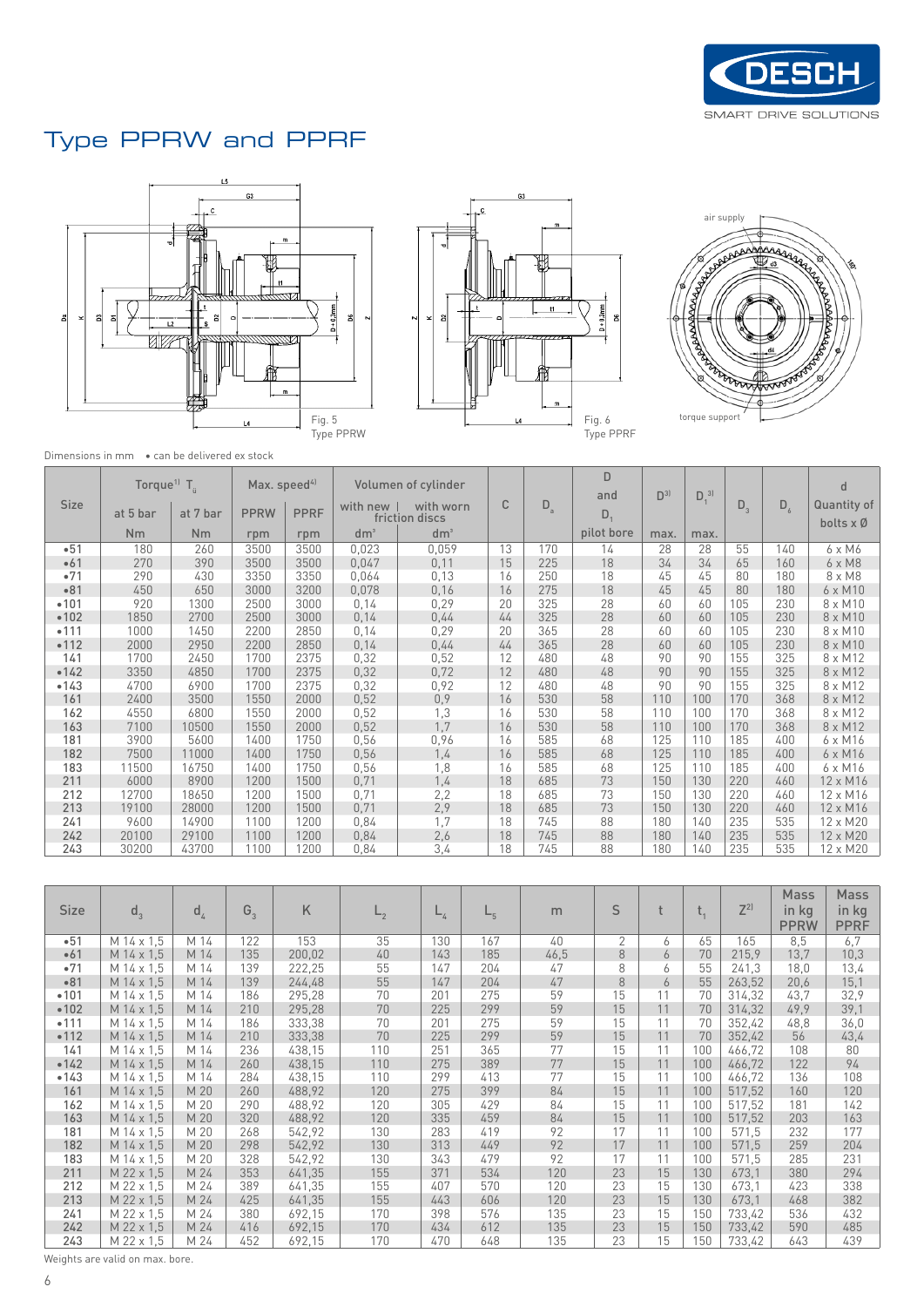

# Type PPRW and PPRF







Dimensions in mm • can be delivered ex stock

| <b>Size</b> | Torque <sup>11</sup> $T_a$ |                       | Max. speed $4$     |                    | with new        | Volumen of cylinder<br>with worn  | C  | $D_a$ | D<br>and         | D <sup>3</sup> | $D_1^{\ 3]}$ | $D_3$ | $D_6$ | d<br>Quantity of    |
|-------------|----------------------------|-----------------------|--------------------|--------------------|-----------------|-----------------------------------|----|-------|------------------|----------------|--------------|-------|-------|---------------------|
|             | at 5 bar<br>Nm             | at 7 bar<br><b>Nm</b> | <b>PPRW</b><br>rpm | <b>PPRF</b><br>rpm | dm <sup>3</sup> | friction discs<br>dm <sup>3</sup> |    |       | D,<br>pilot bore | max.           | max.         |       |       | bolts $x \emptyset$ |
| •51         | 180                        | 260                   | 3500               | 3500               | 0.023           | 0,059                             | 13 | 170   | 14               | 28             | 28           | 55    | 140   | 6 x M6              |
| •61         | 270                        | 390                   | 3500               | 3500               | 0,047           | 0,11                              | 15 | 225   | 18               | 34             | 34           | 65    | 160   | 6 x M8              |
| •71         | 290                        | 430                   | 3350               | 3350               | 0,064           | 0,13                              | 16 | 250   | 18               | 45             | 45           | 80    | 180   | 8 x M8              |
| •81         | 450                        | 650                   | 3000               | 3200               | 0,078           | 0,16                              | 16 | 275   | 18               | 45             | 45           | 80    | 180   | 6 x M10             |
| •101        | 920                        | 1300                  | 2500               | 3000               | 0,14            | 0,29                              | 20 | 325   | 28               | 60             | 60           | 105   | 230   | 8 x M10             |
| •102        | 1850                       | 2700                  | 2500               | 3000               | 0,14            | 0,44                              | 44 | 325   | 28               | 60             | 60           | 105   | 230   | 8 x M10             |
| •111        | 1000                       | 1450                  | 2200               | 2850               | 0,14            | 0,29                              | 20 | 365   | 28               | 60             | 60           | 105   | 230   | 8 x M10             |
| •112        | 2000                       | 2950                  | 2200               | 2850               | 0,14            | 0,44                              | 44 | 365   | 28               | 60             | 60           | 105   | 230   | 8 x M10             |
| 141         | 1700                       | 2450                  | 1700               | 2375               | 0,32            | 0,52                              | 12 | 480   | 48               | 90             | 90           | 155   | 325   | 8 x M12             |
| •142        | 3350                       | 4850                  | 1700               | 2375               | 0,32            | 0,72                              | 12 | 480   | 48               | 90             | 90           | 155   | 325   | 8 x M12             |
| •143        | 4700                       | 6900                  | 1700               | 2375               | 0,32            | 0,92                              | 12 | 480   | 48               | 90             | 90           | 155   | 325   | 8 x M12             |
| 161         | 2400                       | 3500                  | 1550               | 2000               | 0,52            | 0,9                               | 16 | 530   | 58               | 110            | 100          | 170   | 368   | 8 x M12             |
| 162         | 4550                       | 6800                  | 1550               | 2000               | 0,52            | 1,3                               | 16 | 530   | 58               | 110            | 100          | 170   | 368   | 8 x M12             |
| 163         | 7100                       | 10500                 | 1550               | 2000               | 0,52            | 1,7                               | 16 | 530   | 58               | 110            | 100          | 170   | 368   | 8 x M12             |
| 181         | 3900                       | 5600                  | 1400               | 1750               | 0,56            | 0,96                              | 16 | 585   | 68               | 125            | 110          | 185   | 400   | 6 x M16             |
| 182         | 7500                       | 11000                 | 1400               | 1750               | 0,56            | 1,4                               | 16 | 585   | 68               | 125            | 110          | 185   | 400   | 6 x M16             |
| 183         | 11500                      | 16750                 | 1400               | 1750               | 0,56            | 1,8                               | 16 | 585   | 68               | 125            | 110          | 185   | 400   | 6 x M16             |
| 211         | 6000                       | 8900                  | 1200               | 1500               | 0,71            | 1,4                               | 18 | 685   | 73               | 150            | 130          | 220   | 460   | 12 x M16            |
| 212         | 12700                      | 18650                 | 1200               | 1500               | 0.71            | 2,2                               | 18 | 685   | 73               | 150            | 130          | 220   | 460   | 12 x M16            |
| 213         | 19100                      | 28000                 | 1200               | 1500               | 0,71            | 2,9                               | 18 | 685   | 73               | 150            | 130          | 220   | 460   | 12 x M16            |
| 241         | 9600                       | 14900                 | 1100               | 1200               | 0,84            | 1,7                               | 18 | 745   | 88               | 180            | 140          | 235   | 535   | 12 x M20            |
| 242         | 20100                      | 29100                 | 1100               | 1200               | 0,84            | 2,6                               | 18 | 745   | 88               | 180            | 140          | 235   | 535   | 12 x M20            |
| 243         | 30200                      | 43700                 | 1100               | 1200               | 0,84            | 3,4                               | 18 | 745   | 88               | 180            | 140          | 235   | 535   | 12 x M20            |

|             |            |                |         |        |      |           |      |      |    |    |     |         | Mass                 | <b>Mass</b>          |
|-------------|------------|----------------|---------|--------|------|-----------|------|------|----|----|-----|---------|----------------------|----------------------|
| <b>Size</b> | $d_3$      | d <sub>4</sub> | $G_{3}$ | Κ      | $-2$ | $L_{\mu}$ | $-5$ | m    | S  |    | ι,  | $Z^{2}$ | in kg<br><b>PPRW</b> | in kg<br><b>PPRF</b> |
| •51         | M 14 x 1.5 | M 14           | 122     | 153    | 35   | 130       | 167  | 40   | 2  | 6  | 65  | 165     | 8,5                  | 6,7                  |
| •61         | M 14 x 1.5 | M 14           | 135     | 200,02 | 40   | 143       | 185  | 46,5 | 8  | 6  | 70  | 215,9   | 13,7                 | 10,3                 |
| •71         | M 14 x 1.5 | M 14           | 139     | 222,25 | 55   | 147       | 204  | 47   | 8  | 6  | 55  | 241,3   | 18,0                 | 13,4                 |
| •81         | M 14 x 1.5 | M 14           | 139     | 244,48 | 55   | 147       | 204  | 47   | 8  | 6  | 55  | 263,52  | 20,6                 | 15,1                 |
| •101        | M 14 x 1.5 | M 14           | 186     | 295,28 | 70   | 201       | 275  | 59   | 15 | 11 | 70  | 314,32  | 43.7                 | 32,9                 |
| •102        | M 14 x 1,5 | M 14           | 210     | 295,28 | 70   | 225       | 299  | 59   | 15 | 11 | 70  | 314,32  | 49,9                 | 39,1                 |
| •111        | M 14 x 1,5 | M 14           | 186     | 333,38 | 70   | 201       | 275  | 59   | 15 | 11 | 70  | 352,42  | 48,8                 | 36,0                 |
| •112        | M 14 x 1,5 | M 14           | 210     | 333,38 | 70   | 225       | 299  | 59   | 15 | 11 | 70  | 352,42  | 56                   | 43,4                 |
| 141         | M 14 x 1,5 | M 14           | 236     | 438,15 | 110  | 251       | 365  | 77   | 15 | 11 | 100 | 466,72  | 108                  | 80                   |
| •142        | M 14 x 1.5 | M 14           | 260     | 438,15 | 110  | 275       | 389  | 77   | 15 | 11 | 100 | 466,72  | 122                  | 94                   |
| •143        | M 14 x 1,5 | M 14           | 284     | 438,15 | 110  | 299       | 413  | 77   | 15 | 11 | 100 | 466,72  | 136                  | 108                  |
| 161         | M 14 x 1,5 | M 20           | 260     | 488.92 | 120  | 275       | 399  | 84   | 15 | 11 | 100 | 517,52  | 160                  | 120                  |
| 162         | M 14 x 1,5 | M 20           | 290     | 488,92 | 120  | 305       | 429  | 84   | 15 | 11 | 100 | 517,52  | 181                  | 142                  |
| 163         | M 14 x 1.5 | M 20           | 320     | 488,92 | 120  | 335       | 459  | 84   | 15 | 11 | 100 | 517,52  | 203                  | 163                  |
| 181         | M 14 x 1.5 | M 20           | 268     | 542,92 | 130  | 283       | 419  | 92   | 17 | 11 | 100 | 571,5   | 232                  | 177                  |
| 182         | M 14 x 1.5 | M 20           | 298     | 542,92 | 130  | 313       | 449  | 92   | 17 | 11 | 100 | 571,5   | 259                  | 204                  |
| 183         | M 14 x 1.5 | M 20           | 328     | 542,92 | 130  | 343       | 479  | 92   | 17 | 11 | 100 | 571,5   | 285                  | 231                  |
| 211         | M 22 x 1,5 | M 24           | 353     | 641,35 | 155  | 371       | 534  | 120  | 23 | 15 | 130 | 673.1   | 380                  | 294                  |
| 212         | M 22 x 1,5 | M 24           | 389     | 641,35 | 155  | 407       | 570  | 120  | 23 | 15 | 130 | 673,1   | 423                  | 338                  |
| 213         | M 22 x 1,5 | M 24           | 425     | 641,35 | 155  | 443       | 606  | 120  | 23 | 15 | 130 | 673,1   | 468                  | 382                  |
| 241         | M 22 x 1.5 | M 24           | 380     | 692,15 | 170  | 398       | 576  | 135  | 23 | 15 | 150 | 733,42  | 536                  | 432                  |
| 242         | M 22 x 1,5 | M 24           | 416     | 692,15 | 170  | 434       | 612  | 135  | 23 | 15 | 150 | 733,42  | 590                  | 485                  |
| 243         | M 22 x 1,5 | M 24           | 452     | 692,15 | 170  | 470       | 648  | 135  | 23 | 15 | 150 | 733,42  | 643                  | 439                  |

Weights are valid on max. bore.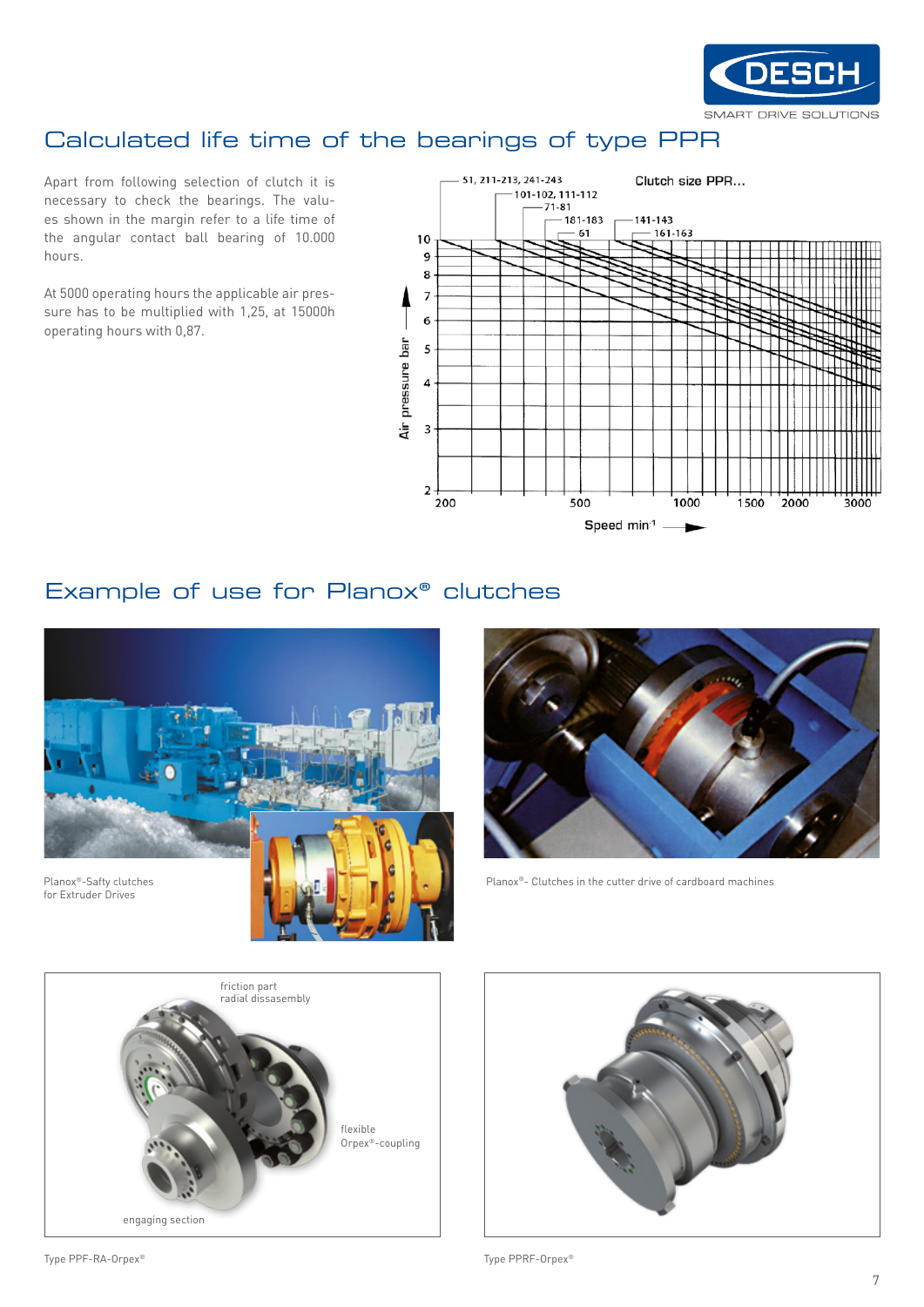

## Calculated life time of the bearings of type PPR

Apart from following selection of clutch it is necessary to check the bearings. The values shown in the margin refer to a life time of the angular contact ball bearing of 10.000 hours.

At 5000 operating hours the applicable air pressure has to be multiplied with 1,25, at 15000h operating hours with 0,87.



#### Example of use for Planox® clutches





Planox®- Clutches in the cutter drive of cardboard machines



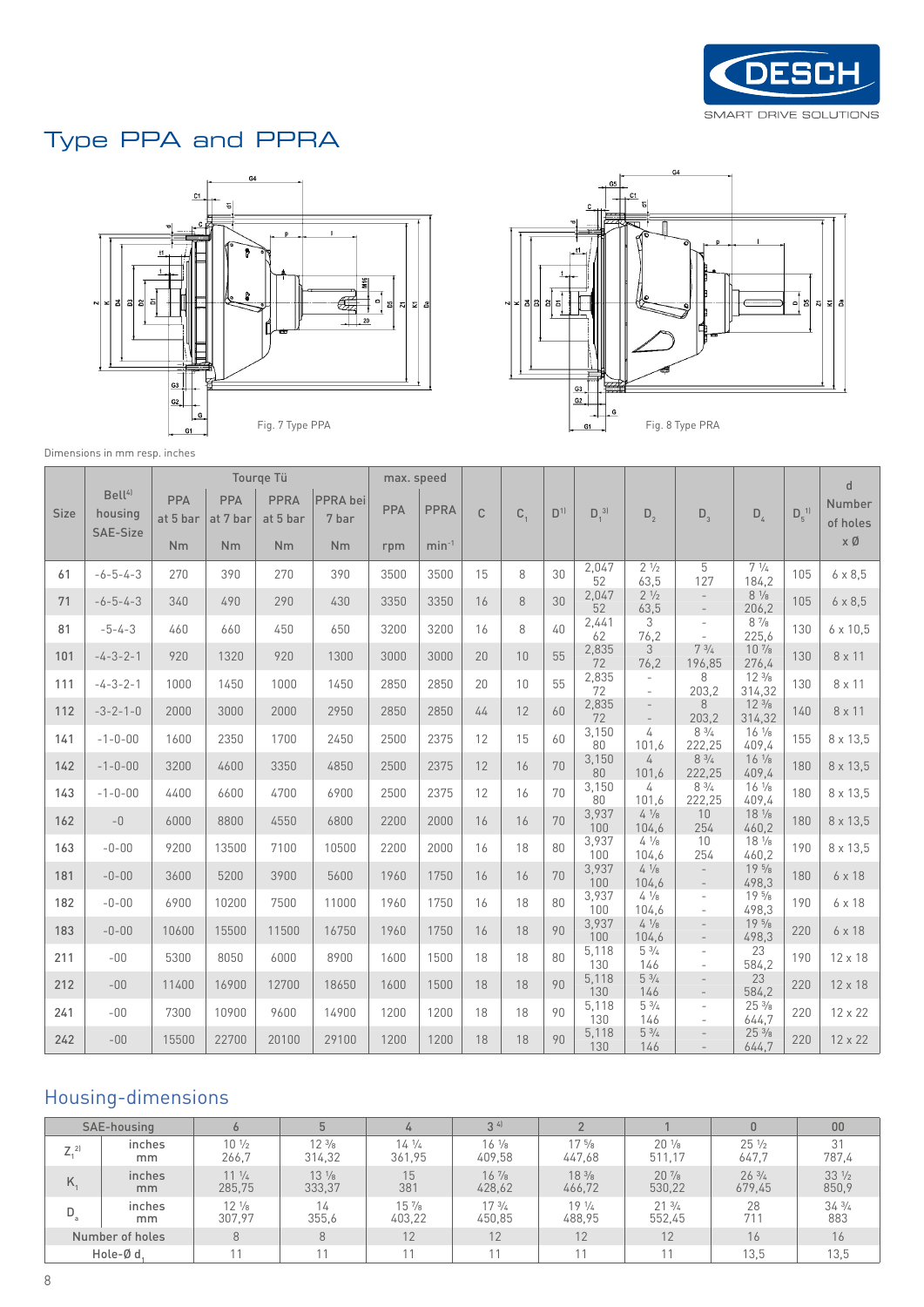

# Type PPA and PPRA





Dimensions in mm resp. inches

|      |                                           |                 |                 | Tourge Tü               |                   | max. speed |             |              |         |                |              |                          |                                                      |                           |            | $\mathsf{d}$       |
|------|-------------------------------------------|-----------------|-----------------|-------------------------|-------------------|------------|-------------|--------------|---------|----------------|--------------|--------------------------|------------------------------------------------------|---------------------------|------------|--------------------|
| Size | Bell <sup>41</sup><br>housing<br>SAE-Size | PPA<br>at 5 bar | PPA<br>at 7 bar | <b>PPRA</b><br>at 5 bar | PPRA bei<br>7 bar | PPA        | <b>PPRA</b> | $\mathsf{C}$ | $C_{1}$ | D <sup>1</sup> | $D_1^{\ 3]}$ | $D_{2}$                  | $D_3$                                                | $D_4$                     | $D_5^{-1}$ | Number<br>of holes |
|      |                                           | <b>Nm</b>       | <b>Nm</b>       | <b>Nm</b>               | <b>Nm</b>         | rpm        | $min-1$     |              |         |                |              |                          |                                                      |                           |            | хØ                 |
| 61   | $-6 - 5 - 4 - 3$                          | 270             | 390             | 270                     | 390               | 3500       | 3500        | 15           | 8       | 30             | 2,047<br>52  | $2 \frac{1}{2}$<br>63,5  | 5<br>127                                             | $7\frac{1}{4}$<br>184,2   | 105        | $6 \times 8,5$     |
| 71   | $-6 - 5 - 4 - 3$                          | 340             | 490             | 290                     | 430               | 3350       | 3350        | 16           | 8       | 30             | 2,047<br>52  | $2\frac{1}{2}$<br>63,5   | $\overline{\phantom{a}}$<br>$\overline{\phantom{a}}$ | $8 \frac{1}{8}$<br>206,2  | 105        | $6 \times 8,5$     |
| 81   | $-5 - 4 - 3$                              | 460             | 660             | 450                     | 650               | 3200       | 3200        | 16           | 8       | 40             | 2,441<br>62  | 3<br>76,2                | $\overline{\phantom{a}}$<br>$\sim$                   | $8\frac{7}{8}$<br>225,6   | 130        | $6 \times 10,5$    |
| 101  | $-4-3-2-1$                                | 920             | 1320            | 920                     | 1300              | 3000       | 3000        | 20           | 10      | 55             | 2,835<br>72  | 3<br>76,2                | $7\frac{3}{4}$<br>196,85                             | $10\frac{7}{8}$<br>276,4  | 130        | 8 x 11             |
| 111  | $-4-3-2-1$                                | 1000            | 1450            | 1000                    | 1450              | 2850       | 2850        | 20           | 10      | 55             | 2,835<br>72  | $\sim$                   | 8<br>203,2                                           | $12\frac{3}{8}$<br>314,32 | 130        | 8 x 11             |
| 112  | $-3-2-1-0$                                | 2000            | 3000            | 2000                    | 2950              | 2850       | 2850        | 44           | 12      | 60             | 2,835<br>72  | $\overline{\phantom{a}}$ | 8<br>203,2                                           | $12\frac{3}{8}$<br>314,32 | 140        | 8 x 11             |
| 141  | $-1 - 0 - 00$                             | 1600            | 2350            | 1700                    | 2450              | 2500       | 2375        | 12           | 15      | 60             | 3,150<br>80  | 4<br>101,6               | $8\frac{3}{4}$<br>222,25                             | $16\frac{1}{8}$<br>409,4  | 155        | 8 x 13,5           |
| 142  | $-1 - 0 - 00$                             | 3200            | 4600            | 3350                    | 4850              | 2500       | 2375        | 12           | 16      | 70             | 3,150<br>80  | 4<br>101,6               | $8 \frac{3}{4}$<br>222,25                            | $16 \frac{1}{8}$<br>409,4 | 180        | 8 x 13,5           |
| 143  | $-1 - 0 - 00$                             | 4400            | 6600            | 4700                    | 6900              | 2500       | 2375        | 12           | 16      | 70             | 3,150<br>80  | 4<br>101,6               | $8 \frac{3}{4}$<br>222,25                            | $16\frac{1}{8}$<br>409.4  | 180        | 8 x 13,5           |
| 162  | $\hbox{--}0$                              | 6000            | 8800            | 4550                    | 6800              | 2200       | 2000        | 16           | 16      | 70             | 3,937<br>100 | $4\frac{1}{8}$<br>104,6  | 10<br>254                                            | $18 \frac{1}{8}$<br>460,2 | 180        | 8 x 13,5           |
| 163  | $-0-00$                                   | 9200            | 13500           | 7100                    | 10500             | 2200       | 2000        | 16           | 18      | 80             | 3,937<br>100 | $4\frac{1}{8}$<br>104,6  | 10<br>254                                            | $18 \frac{1}{8}$<br>460,2 | 190        | 8 x 13,5           |
| 181  | $-0-00$                                   | 3600            | 5200            | 3900                    | 5600              | 1960       | 1750        | 16           | 16      | 70             | 3,937<br>100 | $4\frac{1}{8}$<br>104,6  | $\overline{\phantom{a}}$<br>$\overline{\phantom{a}}$ | $19\frac{5}{8}$<br>498,3  | 180        | 6 x 18             |
| 182  | $-0-00$                                   | 6900            | 10200           | 7500                    | 11000             | 1960       | 1750        | 16           | 18      | 80             | 3,937<br>100 | $4 \frac{1}{8}$<br>104.6 | $\overline{\phantom{a}}$<br>$\overline{\phantom{a}}$ | $19\frac{5}{8}$<br>498.3  | 190        | 6 x 18             |
| 183  | $-0-00$                                   | 10600           | 15500           | 11500                   | 16750             | 1960       | 1750        | 16           | 18      | 90             | 3,937<br>100 | $4 \frac{1}{8}$<br>104,6 | $\overline{\phantom{a}}$                             | $19\frac{5}{8}$<br>498,3  | 220        | 6 x 18             |
| 211  | $-00$                                     | 5300            | 8050            | 6000                    | 8900              | 1600       | 1500        | 18           | 18      | 80             | 5,118<br>130 | $5 \frac{3}{4}$<br>146   | $\overline{\phantom{a}}$<br>$\sim$                   | 23<br>584,2               | 190        | 12 x 18            |
| 212  | $-00$                                     | 11400           | 16900           | 12700                   | 18650             | 1600       | 1500        | 18           | 18      | 90             | 5,118<br>130 | $5 \frac{3}{4}$<br>146   | $\overline{a}$<br>$\overline{\phantom{a}}$           | 23<br>584,2               | 220        | 12 x 18            |
| 241  | $-00$                                     | 7300            | 10900           | 9600                    | 14900             | 1200       | 1200        | 18           | 18      | 90             | 5,118<br>130 | $5 \frac{3}{4}$<br>146   | $\overline{\phantom{a}}$<br>$\overline{\phantom{a}}$ | $25\frac{3}{8}$<br>644,7  | 220        | 12 x 22            |
| 242  | $-00$                                     | 15500           | 22700           | 20100                   | 29100             | 1200       | 1200        | 18           | 18      | 90             | 5,118<br>130 | $5 \frac{3}{4}$<br>146   |                                                      | $25\frac{3}{8}$<br>644.7  | 220        | 12 x 22            |

### Housing-dimensions

|                | SAE-housing     |                 | 5               | 4               | 34              |                 |                  | $\mathbf{0}$    | 00              |
|----------------|-----------------|-----------------|-----------------|-----------------|-----------------|-----------------|------------------|-----------------|-----------------|
| Z <sub>2</sub> | inches          | $10\frac{1}{2}$ | $12\frac{3}{8}$ | $14\frac{1}{4}$ | $16\frac{1}{8}$ | $17\frac{5}{8}$ | $20\frac{1}{8}$  | $25\frac{1}{2}$ | 31              |
|                | mm.             | 266,7           | 314,32          | 361,95          | 409,58          | 447,68          | 511,17           | 647.7           | 787,4           |
| Κ.             | inches          | $11\frac{1}{4}$ | $13\frac{1}{8}$ | 15              | $16\frac{7}{8}$ | $18\frac{3}{8}$ | $20\frac{7}{8}$  | $26\frac{3}{4}$ | $33\frac{1}{2}$ |
|                | mm              | 285,75          | 333,37          | 381             | 428,62          | 466,72          | 530,22           | 679,45          | 850,9           |
| $D_a$          | inches          | $12\frac{1}{8}$ | 14              | $15\frac{7}{8}$ | 173/4           | $19\frac{1}{4}$ | $21 \frac{3}{4}$ | 28              | $34\frac{3}{4}$ |
|                | mm.             | 307.97          | 355.6           | 403,22          | 450,85          | 488,95          | 552,45           | 711             | 883             |
|                | Number of holes | 8               | 8               | 12              | 12              | 12              | 12               | 16              | 16              |
|                | Hole-Ød.        |                 |                 |                 | 11              |                 |                  | 13.5            | 13,5            |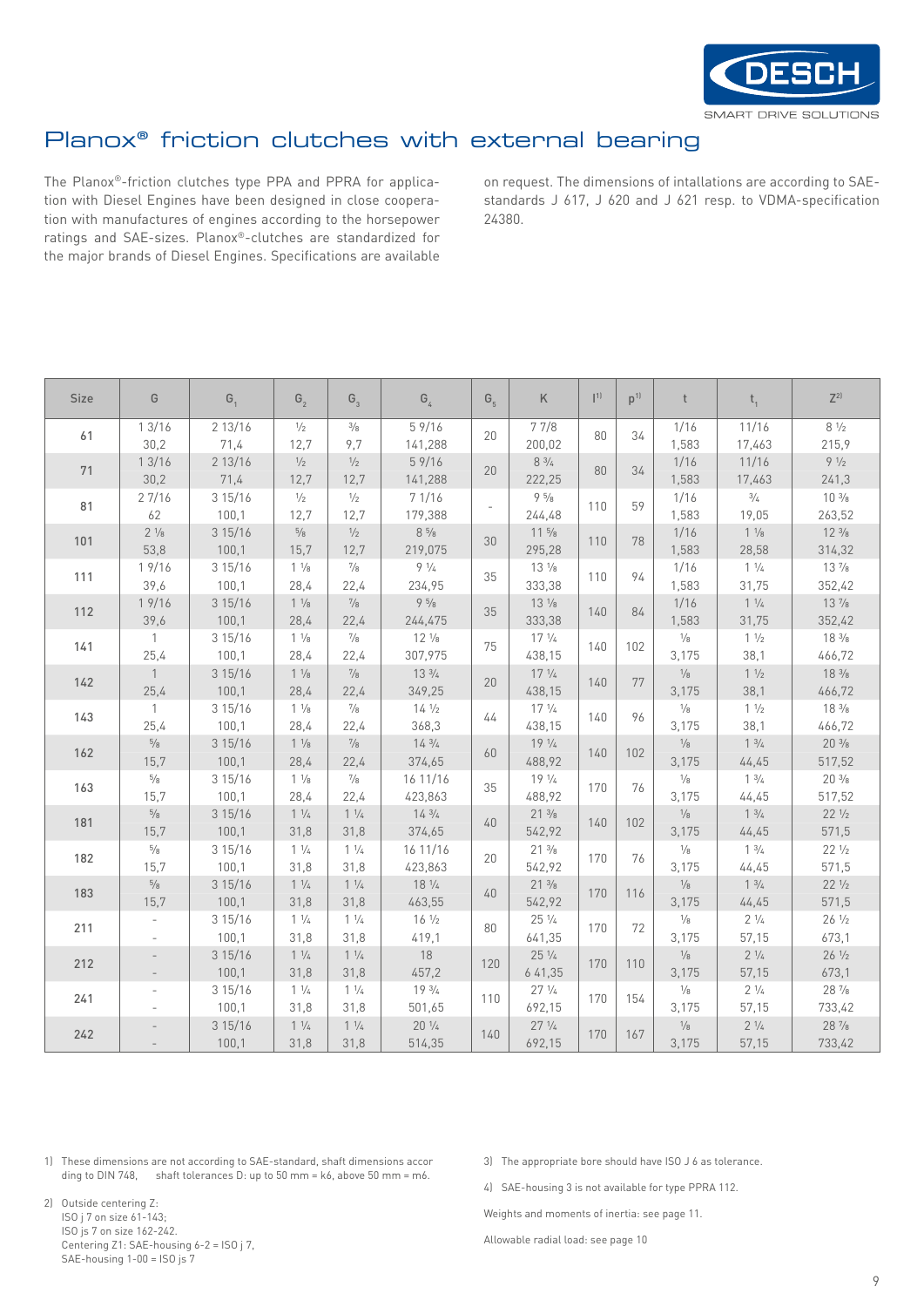

# Planox® friction clutches with external bearing

The Planox®-friction clutches type PPA and PPRA for application with Diesel Engines have been designed in close cooperation with manufactures of engines according to the horsepower ratings and SAE-sizes. Planox®-clutches are standardized for the major brands of Diesel Engines. Specifications are available on request. The dimensions of intallations are according to SAEstandards J 617, J 620 and J 621 resp. to VDMA-specification 24380.

| <b>Size</b> | G                 | G <sub>1</sub> | G <sub>2</sub>  | $G_{3}$         | G <sub>4</sub>                | $G_{5}$ | K                | 1   | p <sup>1</sup> | t                 | $t_{1}$         | $Z^{2}$          |
|-------------|-------------------|----------------|-----------------|-----------------|-------------------------------|---------|------------------|-----|----------------|-------------------|-----------------|------------------|
| 61          | 13/16             | 2 13/16        | $\frac{1}{2}$   | $\frac{3}{8}$   | 59/16                         | 20      | 77/8             | 80  | 34             | 1/16              | 11/16           | $8 \frac{1}{2}$  |
|             | 30,2              | 71,4           | 12,7            | 9,7             | 141,288                       |         | 200,02           |     |                | 1,583             | 17,463          | 215,9            |
| 71          | 13/16             | 2 13/16        | $\frac{1}{2}$   | $\frac{1}{2}$   | 59/16                         | 20      | $8 \frac{3}{4}$  | 80  | 34             | 1/16              | 11/16           | $9 \frac{1}{2}$  |
|             | 30,2              | 71,4           | 12,7            | 12,7            | 141,288                       |         | 222,25           |     |                | 1,583             | 17,463          | 241,3            |
| 81          | 27/16             | 3 15/16        | $\frac{1}{2}$   | $\frac{1}{2}$   | 7 1/16                        |         | $9\frac{5}{8}$   | 110 | 59             | 1/16              | $\frac{3}{4}$   | $10 \frac{3}{8}$ |
|             | 62                | 100,1          | 12,7            | 12,7            | 179,388                       |         | 244,48           |     |                | 1,583             | 19,05           | 263,52           |
| 101         | $2 \frac{1}{8}$   | 3 15/16        | $\frac{5}{8}$   | $1/2$           | $8\,5\!/_{\hspace{-0.75pt}8}$ | 30      | $11\frac{5}{8}$  | 110 | 78             | 1/16              | $1 \frac{1}{8}$ | $12 \frac{3}{8}$ |
|             | 53,8              | 100,1          | 15,7            | 12,7            | 219,075                       |         | 295,28           |     |                | 1,583             | 28,58           | 314,32           |
| 111         | 19/16             | 3 15/16        | $1 \frac{1}{8}$ | $^{7/8}$        | $9 \frac{1}{4}$               | 35      | $13\frac{1}{8}$  | 110 | 94             | 1/16              | $1 \frac{1}{4}$ | $13\frac{7}{8}$  |
|             | 39,6              | 100,1          | 28,4            | 22,4            | 234,95                        |         | 333,38           |     |                | 1,583             | 31,75           | 352,42           |
| 112         | 19/16             | 3 15/16        | $1 \frac{1}{8}$ | $^{7/8}$        | $9\frac{5}{8}$                | 35      | $13 \frac{1}{8}$ | 140 | 84             | 1/16              | $1 \frac{1}{4}$ | $13\frac{7}{8}$  |
|             | 39,6              | 100,1          | 28,4            | 22,4            | 244,475                       |         | 333,38           |     |                | 1,583             | 31,75           | 352,42           |
| 141         | $\mathbf{1}$      | 3 15/16        | $1 \frac{1}{8}$ | $^{7/8}$        | $12 \frac{1}{8}$              | 75      | $17 \frac{1}{4}$ | 140 | 102            | $1\!/\!{\rm s}$   | $1 \frac{1}{2}$ | $18 \frac{3}{8}$ |
|             | 25,4              | 100,1          | 28,4            | 22,4            | 307,975                       |         | 438,15           |     |                | 3,175             | 38,1            | 466,72           |
| 142         | $\mathbf{1}$      | 3 15/16        | $1 \frac{1}{8}$ | $^{7/8}$        | $13 \frac{3}{4}$              | 20      | $17 \frac{1}{4}$ | 140 | 77             | $1\!/\!$          | $1 \frac{1}{2}$ | $18 \frac{3}{8}$ |
|             | 25,4              | 100,1          | 28,4            | 22,4            | 349,25                        |         | 438,15           |     |                | 3,175             | 38,1            | 466,72           |
| 143         | $\mathbf{1}$      | 3 15/16        | $1 \frac{1}{8}$ | $^{7/8}$        | $14 \frac{1}{2}$              | 44      | $17 \frac{1}{4}$ | 140 | 96             | $1/8$             | $1 \frac{1}{2}$ | $18 \frac{3}{8}$ |
|             | 25,4              | 100,1          | 28,4            | 22,4            | 368,3                         |         | 438,15           |     |                | 3,175             | 38,1            | 466,72           |
| 162         | $5/8$             | 315/16         | $1\frac{1}{8}$  | $^{7/8}$        | $14 \frac{3}{4}$              | 60      | $19\frac{1}{4}$  | 140 | 102            | $1/8$             | $1 \frac{3}{4}$ | $20\frac{3}{8}$  |
|             | 15,7              | 100,1          | 28,4            | 22,4            | 374,65                        |         | 488,92           |     |                | 3,175             | 44,45           | 517,52           |
| 163         | $5\!/_{\text{8}}$ | 3 15/16        | $1\frac{1}{8}$  | $\frac{7}{8}$   | 16 11/16                      | 35      | $19\frac{1}{4}$  | 170 | 76             | $1\!_{8}$         | $1 \frac{3}{4}$ | $20\frac{3}{8}$  |
|             | 15,7              | 100,1          | 28,4            | 22,4            | 423,863                       |         | 488,92           |     |                | 3,175             | 44,45           | 517,52           |
| 181         | $5\!/_{\text{8}}$ | 3 15/16        | $1\frac{1}{4}$  | $1 \frac{1}{4}$ | $14 \frac{3}{4}$              | 40      | $21 \frac{3}{8}$ | 140 | 102            | $1\!_{8}$         | $1 \frac{3}{4}$ | $22\frac{1}{2}$  |
|             | 15,7              | 100,1          | 31,8            | 31,8            | 374,65                        |         | 542,92           |     |                | 3,175             | 44,45           | 571,5            |
| 182         | $5/8$             | 3 15/16        | $1\frac{1}{4}$  | $1 \frac{1}{4}$ | 16 11/16                      | 20      | $21 \frac{3}{8}$ | 170 | 76             | $1\!_{8}$         | $1 \frac{3}{4}$ | $22\frac{1}{2}$  |
|             | 15,7              | 100,1          | 31,8            | 31,8            | 423,863                       |         | 542,92           |     |                | 3,175             | 44,45           | 571,5            |
| 183         | $5\!/_{\text{8}}$ | 3 15/16        | $1\frac{1}{4}$  | $1 \frac{1}{4}$ | $18 \frac{1}{4}$              | 40      | $21 \frac{3}{8}$ | 170 | 116            | $1\!/\!$          | $1 \frac{3}{4}$ | $22\frac{1}{2}$  |
|             | 15,7              | 100,1          | 31,8            | 31,8            | 463,55                        |         | 542,92           |     |                | 3,175             | 44,45           | 571,5            |
| 211         |                   | 3 15/16        | $1\frac{1}{4}$  | $1 \frac{1}{4}$ | $16\frac{1}{2}$               | 80      | $25\frac{1}{4}$  | 170 | 72             | $1\!_{8}$         | $2 \frac{1}{4}$ | $26\frac{1}{2}$  |
|             |                   | 100,1          | 31,8            | 31,8            | 419,1                         |         | 641,35           |     |                | 3,175             | 57,15           | 673,1            |
| 212         |                   | 3 15/16        | $1 \frac{1}{4}$ | $1 \frac{1}{4}$ | $18\,$                        | 120     | $25\frac{1}{4}$  | 170 | 110            | $1\!/\!$          | $2 \frac{1}{4}$ | $26\frac{1}{2}$  |
|             |                   | 100,1          | 31,8            | 31,8            | 457,2                         |         | 641,35           |     |                | 3,175             | 57,15           | 673,1            |
| 241         |                   | 3 15/16        | $1 \frac{1}{4}$ | $1 \frac{1}{4}$ | $19 \frac{3}{4}$              | 110     | $27\frac{1}{4}$  | 170 | 154            | $1\!/_{\text{8}}$ | $2 \frac{1}{4}$ | 28 $\frac{7}{8}$ |
|             |                   | 100,1          | 31,8            | 31,8            | 501,65                        |         | 692,15           |     |                | 3,175             | 57,15           | 733,42           |
| 242         |                   | 3 15/16        | $1 \frac{1}{4}$ | $1 \frac{1}{4}$ | $20 \frac{1}{4}$              | 140     | $27 \frac{1}{4}$ | 170 | 167            | $1\!/\!$          | $2 \frac{1}{4}$ | 28 $\frac{7}{8}$ |
|             |                   | 100,1          | 31,8            | 31,8            | 514,35                        |         | 692,15           |     |                | 3,175             | 57,15           | 733,42           |

1) These dimensions are not according to SAE-standard, shaft dimensions accor ding to DIN 748, shaft tolerances D: up to 50 mm =  $k6$ , above 50 mm =  $m6$ .

3) The appropriate bore should have ISO J 6 as tolerance.

4) SAE-housing 3 is not available for type PPRA 112.

Weights and moments of inertia: see page 11.

Allowable radial load: see page 10

ISO js 7 on size 162-242. Centering Z1: SAE-housing 6-2 = ISO j 7, SAE-housing  $1-00 =$  ISO js  $7$ 

2) Outside centering Z: ISO j 7 on size 61-143;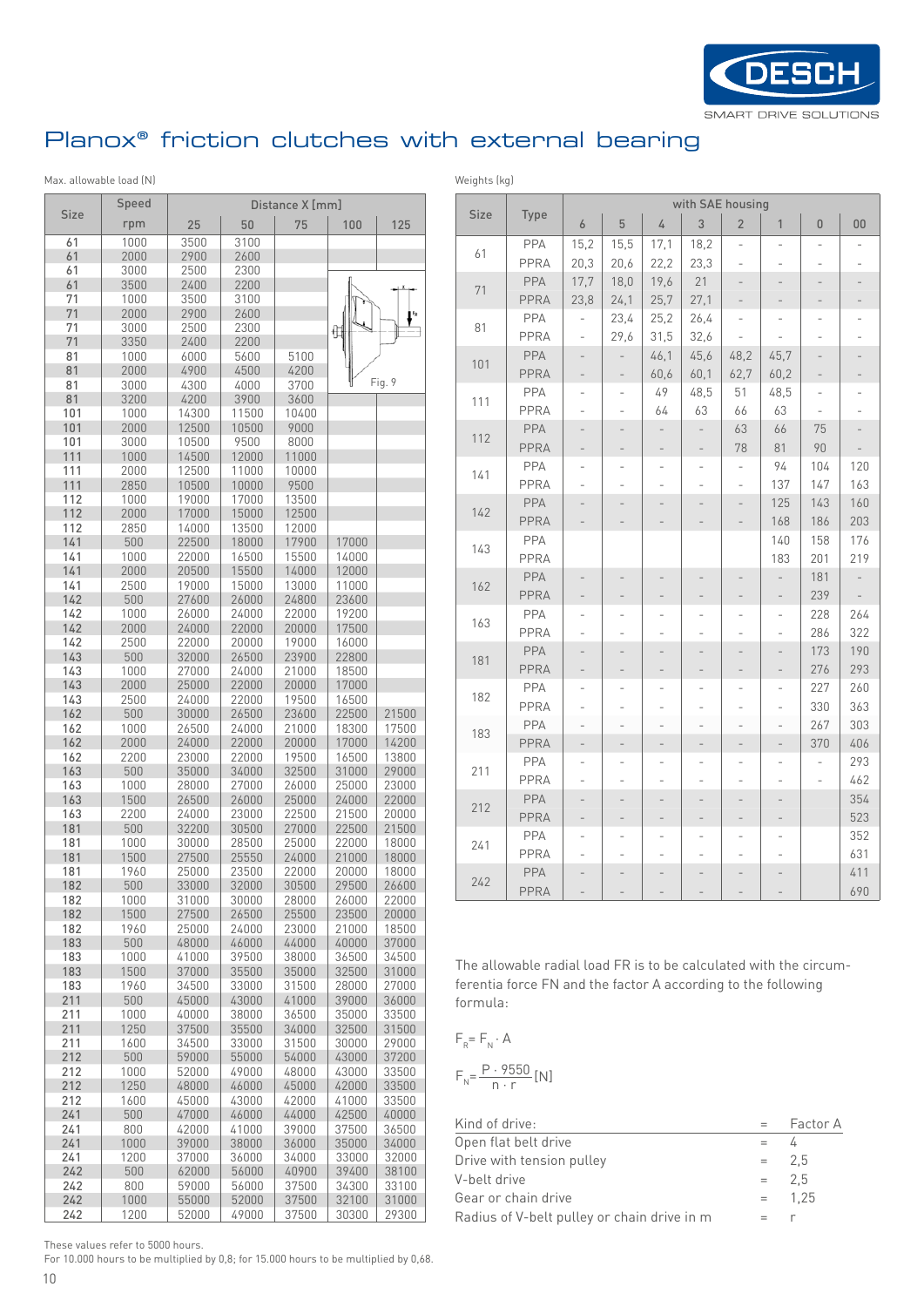

# Planox® friction clutches with external bearing

#### Max. allowable load (N) Max. allowable load (N)

|             | Speed        |                |                | Distance X [mm] |                |                |
|-------------|--------------|----------------|----------------|-----------------|----------------|----------------|
| <b>Size</b> | rpm          | 25             | 50             | 75              | 100            | 125            |
| 61          | 1000         | 3500           | 3100           |                 |                |                |
| 61          | 2000         | 2900           | 2600           |                 |                |                |
| 61          | 3000         | 2500           | 2300           |                 |                |                |
| 61          | 3500         | 2400           | 2200           |                 |                |                |
| 71          | 1000         | 3500           | 3100           |                 |                |                |
| 71          | 2000         | 2900           | 2600           |                 |                |                |
| 71          | 3000         | 2500           | 2300           |                 | ŧ              |                |
| 71          | 3350         | 2400           | 2200           |                 |                |                |
| 81          | 1000         | 6000           | 5600           | 5100            |                |                |
| 81          | 2000         | 4900           | 4500           | 4200            |                |                |
| 81          | 3000         | 4300           | 4000           | 3700            |                | Fig. 9         |
| 81          | 3200         | 4200           | 3900           | 3600            |                |                |
| 101<br>101  | 1000         | 14300          | 11500          | 10400<br>9000   |                |                |
| 101         | 2000<br>3000 | 12500<br>10500 | 10500<br>9500  | 8000            |                |                |
| 111         | 1000         | 14500          | 12000          | 11000           |                |                |
| 111         | 2000         | 12500          | 11000          | 10000           |                |                |
| 111         | 2850         | 10500          | 10000          | 9500            |                |                |
| 112         | 1000         | 19000          | 17000          | 13500           |                |                |
| 112         | 2000         | 17000          | 15000          | 12500           |                |                |
| 112         | 2850         | 14000          | 13500          | 12000           |                |                |
| 141         | 500          | 22500          | 18000          | 17900           | 17000          |                |
| 141         | 1000         | 22000          | 16500          | 15500           | 14000          |                |
| 141         | 2000         | 20500          | 15500          | 14000           | 12000          |                |
| 141         | 2500         | 19000          | 15000          | 13000           | 11000          |                |
| 142         | 500          | 27600          | 26000          | 24800           | 23600          |                |
| 142         | 1000         | 26000          | 24000          | 22000           | 19200          |                |
| 142         | 2000         | 24000          | 22000          | 20000           | 17500          |                |
| 142         | 2500         | 22000          | 20000          | 19000           | 16000          |                |
| 143         | 500          | 32000          | 26500          | 23900           | 22800          |                |
| 143         | 1000<br>2000 | 27000          | 24000          | 21000           | 18500          |                |
| 143<br>143  | 2500         | 25000<br>24000 | 22000<br>22000 | 20000<br>19500  | 17000<br>16500 |                |
| 162         | 500          | 30000          | 26500          | 23600           | 22500          | 21500          |
| 162         | 1000         | 26500          | 24000          | 21000           | 18300          | 17500          |
| 162         | 2000         | 24000          | 22000          | 20000           | 17000          | 14200          |
| 162         | 2200         | 23000          | 22000          | 19500           | 16500          | 13800          |
| 163         | 500          | 35000          | 34000          | 32500           | 31000          | 29000          |
| 163         | 1000         | 28000          | 27000          | 26000           | 25000          | 23000          |
| 163         | 1500         | 26500          | 26000          | 25000           | 24000          | 22000          |
| 163         | 2200         | 24000          | 23000          | 22500           | 21500          | 20000          |
| 181         | 500          | 32200          | 30500          | 27000           | 22500          | 21500          |
| 181         | 1000         | 30000          | 28500          | 25000           | 22000          | 18000          |
| 181         | 1500         | 27500          | 25550          | 24000           | 21000          | 18000          |
| 181         | 1960         | 25000          | 23500          | 22000           | 20000          | 18000          |
| 182         | 500          | 33000          | 32000          | 30500           | 29500          | 26600          |
| 182         | 1000         | 31000          | 30000          | 28000           | 26000          | 22000          |
| 182         | 1500         | 27500          | 26500          | 25500           | 23500          | 20000          |
| 182         | 1960         | 25000          | 24000          | 23000           | 21000          | 18500          |
| 183<br>183  | 500          | 48000<br>41000 | 46000<br>39500 | 44000<br>38000  | 40000<br>36500 | 37000<br>34500 |
| 183         | 1000<br>1500 | 37000          | 35500          | 35000           | 32500          | 31000          |
| 183         | 1960         | 34500          | 33000          | 31500           | 28000          | 27000          |
| 211         | 500          | 45000          | 43000          | 41000           | 39000          | 36000          |
| 211         | 1000         | 40000          | 38000          | 36500           | 35000          | 33500          |
| 211         | 1250         | 37500          | 35500          | 34000           | 32500          | 31500          |
| 211         | 1600         | 34500          | 33000          | 31500           | 30000          | 29000          |
| 212         | 500          | 59000          | 55000          | 54000           | 43000          | 37200          |
| 212         | 1000         | 52000          | 49000          | 48000           | 43000          | 33500          |
| 212         | 1250         | 48000          | 46000          | 45000           | 42000          | 33500          |
| 212         | 1600         | 45000          | 43000          | 42000           | 41000          | 33500          |
| 241         | 500          | 47000          | 46000          | 44000           | 42500          | 40000          |
| 241         | 800          | 42000          | 41000          | 39000           | 37500          | 36500          |
| 241         | 1000         | 39000          | 38000          | 36000           | 35000          | 34000          |
| 241         | 1200         | 37000          | 36000          | 34000           | 33000          | 32000          |
| 242         | 500          | 62000          | 56000          | 40900           | 39400          | 38100          |
| 242         | 800          | 59000          | 56000          | 37500           | 34300          | 33100          |
| 242         | 1000         | 55000          | 52000          | 37500           | 32100          | 31000          |
| 242         | 1200         | 52000          | 49000          | 37500           | 30300          | 29300          |

|      |             |                          |                          |                          |                          | with SAE housing         |                          |                |                |
|------|-------------|--------------------------|--------------------------|--------------------------|--------------------------|--------------------------|--------------------------|----------------|----------------|
| Size | Type        | 6                        | 5                        | 4                        | 3                        | $\overline{c}$           | 1                        | $\mathbf{0}$   | 00             |
| 61   | <b>PPA</b>  | 15,2                     | 15,5                     | 17,1                     | 18,2                     | $\overline{a}$           | $\overline{a}$           |                |                |
|      | PPRA        | 20,3                     | 20,6                     | 22,2                     | 23,3                     | $\overline{a}$           |                          |                |                |
| 71   | PPA         | 17,7                     | 18,0                     | 19,6                     | 21                       |                          |                          |                |                |
|      | PPRA        | 23,8                     | 24,1                     | 25,7                     | 27,1                     | $\overline{\phantom{0}}$ | $\overline{\phantom{0}}$ |                |                |
| 81   | PPA         |                          | 23,4                     | 25,2                     | 26,4                     | $\overline{a}$           | $\overline{a}$           |                |                |
|      | PPRA        | $\overline{a}$           | 29.6                     | 31,5                     | 32,6                     |                          |                          |                |                |
| 101  | PPA         | $\overline{a}$           | $\overline{a}$           | 46,1                     | 45,6                     | 48,2                     | 45,7                     |                |                |
|      | PPRA        | $\overline{\phantom{0}}$ | $\overline{\phantom{0}}$ | 60,6                     | 60,1                     | 62,7                     | 60,2                     |                |                |
| 111  | PPA         | $\overline{a}$           | $\overline{a}$           | 49                       | 48,5                     | 51                       | 48,5                     | $\overline{a}$ |                |
|      | PPRA        | $\overline{a}$           | $\overline{a}$           | 64                       | 63                       | 66                       | 63                       |                |                |
| 112  | PPA         | $\overline{a}$           | $\overline{a}$           | $\overline{a}$           | $\frac{1}{2}$            | 63                       | 66                       | 75             | $\overline{a}$ |
|      | <b>PPRA</b> | $\overline{\phantom{0}}$ | $\overline{\phantom{0}}$ | $\overline{\phantom{0}}$ | $\frac{1}{2}$            | 78                       | 81                       | 90             |                |
| 141  | PPA         | $\overline{a}$           | $\overline{\phantom{0}}$ | $\overline{\phantom{0}}$ | $\overline{\phantom{0}}$ | $\overline{\phantom{0}}$ | 94                       | 104            | 120            |
|      | PPRA        |                          |                          |                          |                          |                          | 137                      | 147            | 163            |
| 142  | PPA         |                          |                          |                          |                          |                          | 125                      | 143            | 160            |
|      | PPRA        | $\overline{\phantom{0}}$ |                          |                          |                          |                          | 168                      | 186            | 203            |
| 143  | <b>PPA</b>  |                          |                          |                          |                          |                          | 140                      | 158            | 176            |
|      | PPRA        |                          |                          |                          |                          |                          | 183                      | 201            | 219            |
| 162  | PPA         |                          |                          |                          |                          |                          | $\overline{\phantom{0}}$ | 181            |                |
|      | PPRA        | $\overline{a}$           | $\overline{a}$           | $\overline{a}$           | $\overline{a}$           |                          | $\overline{a}$           | 239            | $\overline{a}$ |
| 163  | PPA         |                          |                          | $\overline{a}$           |                          |                          | $\overline{a}$           | 228            | 264            |
|      | PPRA        | $\overline{a}$           |                          |                          |                          |                          | $\overline{a}$           | 286            | 322            |
| 181  | PPA         | $\overline{a}$           |                          |                          |                          |                          | $\overline{a}$           | 173            | 190            |
|      | PPRA        | $\overline{\phantom{0}}$ |                          |                          |                          |                          | $\overline{a}$           | 276            | 293            |
| 182  | PPA         | $\overline{a}$           | $\overline{a}$           | $\overline{\phantom{0}}$ | $\overline{a}$           | $\overline{a}$           | $\overline{a}$           | 227            | 260            |
|      | PPRA        | $\overline{a}$           |                          | L                        |                          | $\overline{a}$           |                          | 330            | 363            |
| 183  | PPA         | $\overline{a}$           |                          | $\overline{a}$           |                          |                          |                          | 267            | 303            |
|      | PPRA        | $\overline{a}$           | $\overline{a}$           | $\qquad \qquad -$        | $\overline{a}$           | $\overline{\phantom{0}}$ | $\overline{\phantom{a}}$ | 370            | 406            |
| 211  | PPA         | $\overline{a}$           | $\overline{a}$           | $\overline{a}$           | $\overline{a}$           | $\overline{a}$           | $\overline{a}$           |                | 293            |
|      | PPRA        | $\overline{a}$           |                          |                          |                          |                          |                          |                | 462            |
| 212  | PPA         |                          |                          |                          |                          |                          |                          |                | 354            |
|      | <b>PPRA</b> | $\overline{\phantom{0}}$ | $\overline{\phantom{0}}$ | -                        | $\overline{\phantom{0}}$ | -                        | -                        |                | 523            |
| 241  | PPA         | $\overline{a}$           | $\overline{a}$           | L                        | $\overline{a}$           | $\overline{a}$           | $\overline{a}$           |                | 352            |
|      | PPRA        | $\overline{a}$           | $\overline{a}$           |                          |                          |                          |                          |                | 631            |
| 242  | PPA         | $\overline{a}$           |                          |                          |                          |                          |                          |                | 411            |
|      | PPRA        |                          |                          |                          |                          |                          |                          |                | 690            |

The allowable radial load FR is to be calculated with the circumferentia force FN and the factor A according to the following formula:

$$
F_R = F_N \cdot A
$$
  

$$
F_N = \frac{P \cdot 9550}{n \cdot r} [N]
$$

| Kind of drive:                              | $=$ | Factor A |
|---------------------------------------------|-----|----------|
| Open flat belt drive                        | $=$ | ᠘        |
| Drive with tension pulley                   |     | $= 2.5$  |
| V-belt drive                                |     | $= 2.5$  |
| Gear or chain drive                         |     | $= 1,25$ |
| Radius of V-belt pulley or chain drive in m |     |          |

These values refer to 5000 hours.

For 10.000 hours to be multiplied by 0,8; for 15.000 hours to be multiplied by 0,68.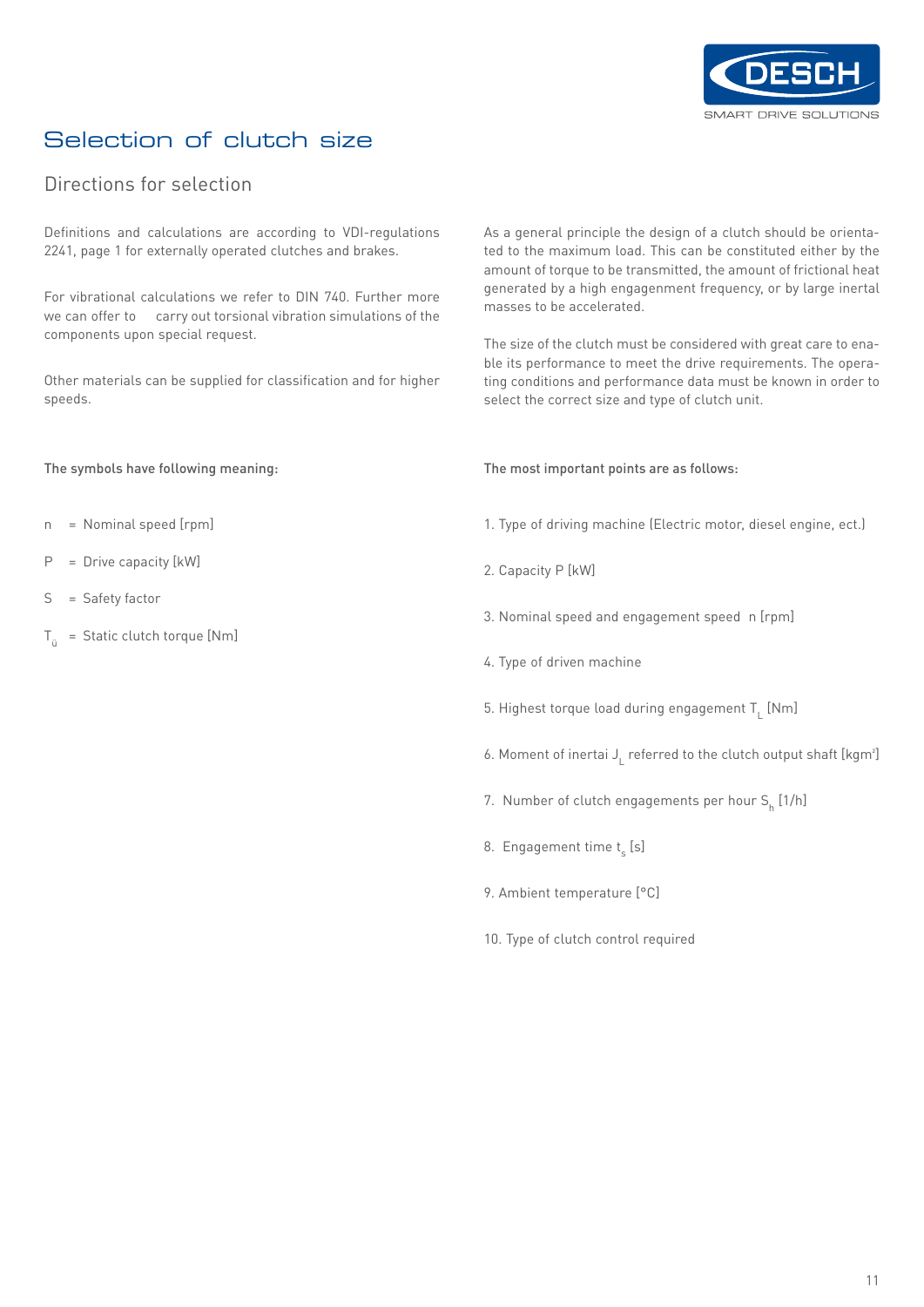

# Selection of clutch size

#### Directions for selection

Definitions and calculations are according to VDI-regulations 2241, page 1 for externally operated clutches and brakes.

For vibrational calculations we refer to DIN 740. Further more we can offer to carry out torsional vibration simulations of the components upon special request.

Other materials can be supplied for classification and for higher speeds.

The symbols have following meaning:

- n = Nominal speed [rpm]
- P = Drive capacity [kW]
- S = Safety factor
- $T_{ii}$  = Static clutch torque [Nm]

As a general principle the design of a clutch should be orientated to the maximum load. This can be constituted either by the amount of torque to be transmitted, the amount of frictional heat generated by a high engagenment frequency, or by large inertal masses to be accelerated.

The size of the clutch must be considered with great care to enable its performance to meet the drive requirements. The operating conditions and performance data must be known in order to select the correct size and type of clutch unit.

The most important points are as follows:

- 1. Type of driving machine (Electric motor, diesel engine, ect.)
- 2. Capacity P [kW]
- 3. Nominal speed and engagement speed n [rpm]
- 4. Type of driven machine
- 5. Highest torque load during engagement  $T_{L}$  [Nm]
- 6. Moment of inertai  $J<sub>L</sub>$  referred to the clutch output shaft [kgm<sup>2</sup>]
- 7. Number of clutch engagements per hour  $\mathsf{S}_{\mathsf{h}}^{} \left[ \mathsf{1}/\mathsf{h} \right]$
- 8. Engagement time t<sub>s</sub> [s]
- 9. Ambient temperature [°C]
- 10. Type of clutch control required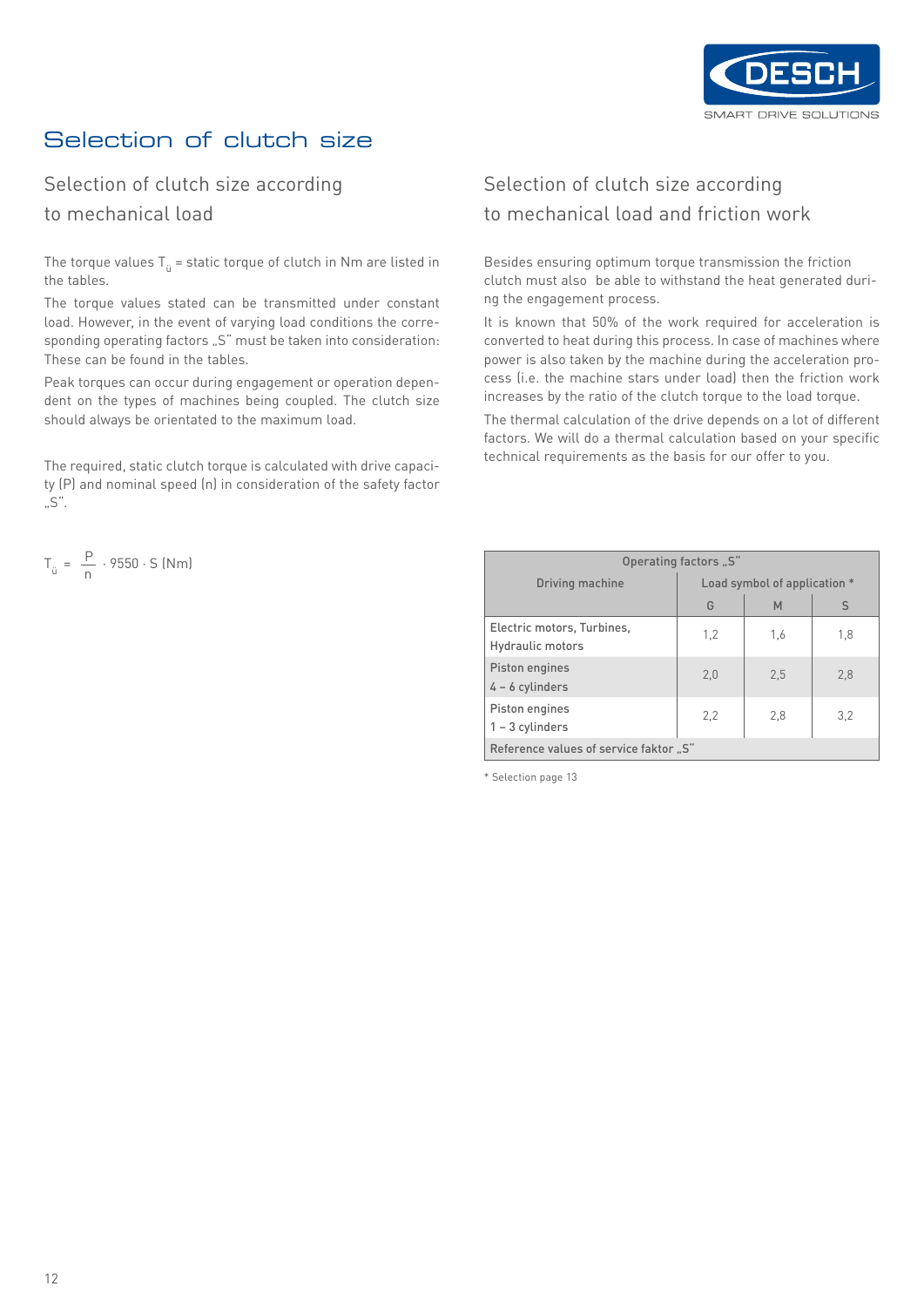

# Selection of clutch size

#### Selection of clutch size according to mechanical load

The torque values  ${\sf T}_{\rm \ddot{u}}$  = static torque of clutch in Nm are listed in the tables.

The torque values stated can be transmitted under constant load. However, in the event of varying load conditions the corresponding operating factors "S" must be taken into consideration: These can be found in the tables.

Peak torques can occur during engagement or operation dependent on the types of machines being coupled. The clutch size should always be orientated to the maximum load.

The required, static clutch torque is calculated with drive capacity (P) and nominal speed (n) in consideration of the safety factor  $.S''.$ 

$$
T_{ij} = \frac{P}{n} \cdot 9550 \cdot S \text{ (Nm)}
$$

### Selection of clutch size according to mechanical load and friction work

Besides ensuring optimum torque transmission the friction clutch must also be able to withstand the heat generated during the engagement process.

It is known that 50% of the work required for acceleration is converted to heat during this process. In case of machines where power is also taken by the machine during the acceleration process (i.e. the machine stars under load) then the friction work increases by the ratio of the clutch torque to the load torque.

The thermal calculation of the drive depends on a lot of different factors. We will do a thermal calculation based on your specific technical requirements as the basis for our offer to you.

|                                                 | Operating factors "S" |     |     |  |  |  |  |  |  |  |
|-------------------------------------------------|-----------------------|-----|-----|--|--|--|--|--|--|--|
| Load symbol of application *<br>Driving machine |                       |     |     |  |  |  |  |  |  |  |
|                                                 | G                     | M   | S   |  |  |  |  |  |  |  |
| Electric motors, Turbines,<br>Hydraulic motors  | 1,2                   | 1,6 | 1,8 |  |  |  |  |  |  |  |
| Piston engines<br>$4 - 6$ cylinders             | 2.0                   | 2.5 | 2,8 |  |  |  |  |  |  |  |
| Piston engines<br>$1 - 3$ cylinders             | 2,2                   | 2,8 | 3,2 |  |  |  |  |  |  |  |
| Reference values of service faktor "S"          |                       |     |     |  |  |  |  |  |  |  |

\* Selection page 13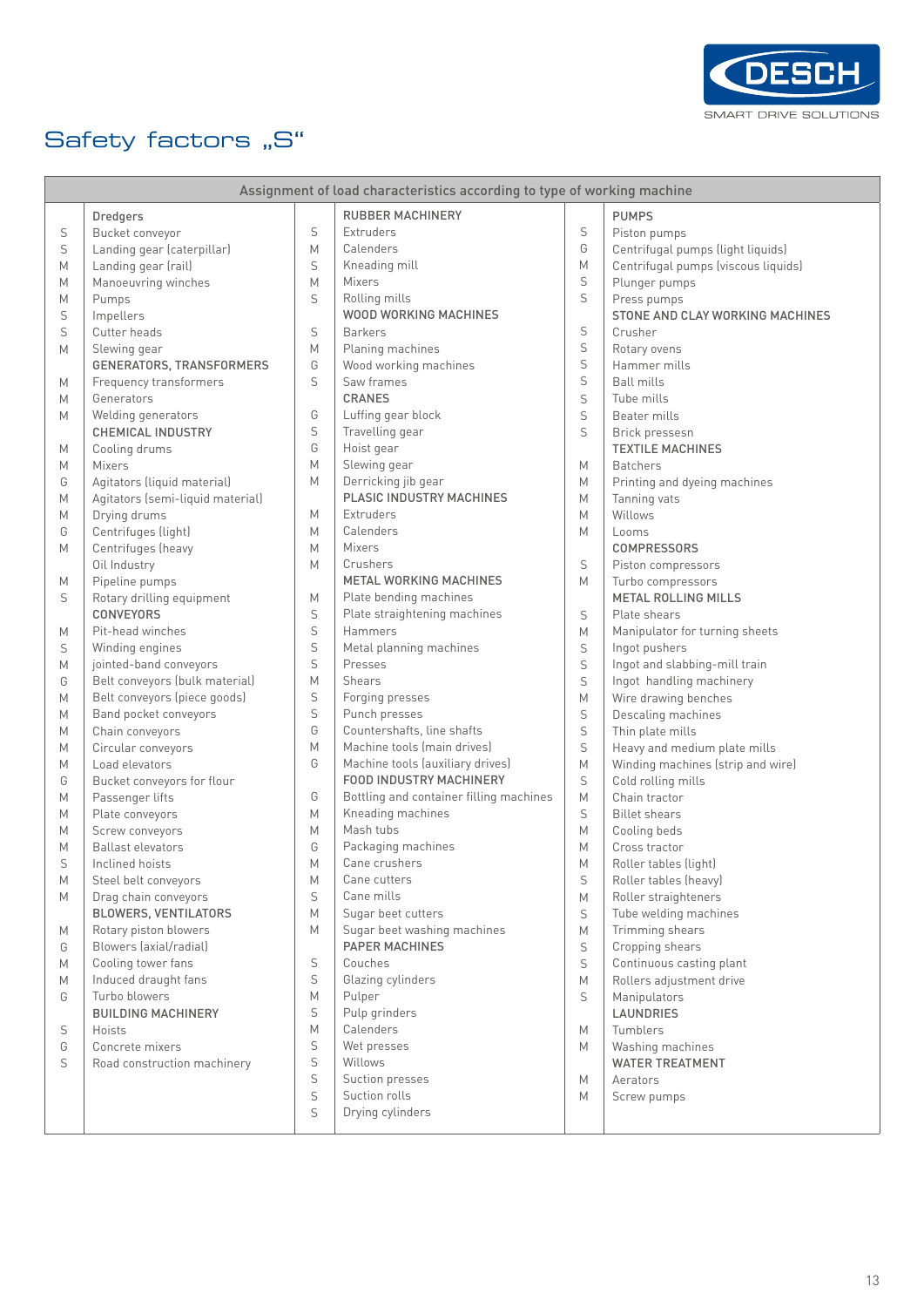

# Safety factors "S"

|   |                                  |   | Assignment of load characteristics according to type of working machine |             |                                     |
|---|----------------------------------|---|-------------------------------------------------------------------------|-------------|-------------------------------------|
|   | <b>Dredgers</b>                  |   | <b>RUBBER MACHINERY</b>                                                 |             | <b>PUMPS</b>                        |
| S | Bucket conveyor                  | S | Extruders                                                               | S           | Piston pumps                        |
| S | Landing gear (caterpillar)       | M | Calenders                                                               | G           | Centrifugal pumps (light liquids)   |
| M | Landing gear (rail)              | S | Kneading mill                                                           | M           | Centrifugal pumps (viscous liquids) |
| M | Manoeuvring winches              | M | Mixers                                                                  | S           | Plunger pumps                       |
| M | Pumps                            | S | Rolling mills                                                           | S           | Press pumps                         |
| S | Impellers                        |   | WOOD WORKING MACHINES                                                   |             | STONE AND CLAY WORKING MACHINES     |
| S | Cutter heads                     | S | <b>Barkers</b>                                                          | S           | Crusher                             |
| M | Slewing gear                     | M | Planing machines                                                        | $\mathsf S$ | Rotary ovens                        |
|   | GENERATORS, TRANSFORMERS         | G | Wood working machines                                                   | $\mathsf S$ | Hammer mills                        |
| M | Frequency transformers           | S | Saw frames                                                              | $\mathsf S$ | <b>Ball mills</b>                   |
| M | Generators                       |   | <b>CRANES</b>                                                           | S           | Tube mills                          |
| M | Welding generators               | G | Luffing gear block                                                      | $\mathsf S$ | Beater mills                        |
|   | <b>CHEMICAL INDUSTRY</b>         | S | Travelling gear                                                         | S           | Brick pressesn                      |
| М | Cooling drums                    | G | Hoist gear                                                              |             | <b>TEXTILE MACHINES</b>             |
| M | Mixers                           | M | Slewing gear                                                            | M           | <b>Batchers</b>                     |
| G | Agitators (liquid material)      | M | Derricking jib gear                                                     | M           | Printing and dyeing machines        |
|   | Agitators (semi-liquid material) |   | PLASIC INDUSTRY MACHINES                                                | M           | Tanning vats                        |
| M |                                  | М | <b>Extruders</b>                                                        | M           | Willows                             |
| М | Drying drums                     | M | Calenders                                                               |             |                                     |
| G | Centrifuges (light)              | M | Mixers                                                                  | M           | Looms                               |
| M | Centrifuges (heavy               | M | Crushers                                                                |             | <b>COMPRESSORS</b>                  |
|   | Oil Industry                     |   |                                                                         | S           | Piston compressors                  |
| М | Pipeline pumps                   |   | <b>METAL WORKING MACHINES</b>                                           | M           | Turbo compressors                   |
| S | Rotary drilling equipment        | М | Plate bending machines                                                  |             | <b>METAL ROLLING MILLS</b>          |
|   | CONVEYORS                        | S | Plate straightening machines                                            | S           | Plate shears                        |
| М | Pit-head winches                 | S | Hammers                                                                 | M           | Manipulator for turning sheets      |
| S | Winding engines                  | S | Metal planning machines                                                 | S           | Ingot pushers                       |
| M | jointed-band conveyors           | S | Presses                                                                 | $\mathsf S$ | Ingot and slabbing-mill train       |
| G | Belt conveyors (bulk material)   | M | Shears                                                                  | $\mathsf S$ | Ingot handling machinery            |
| M | Belt conveyors (piece goods)     | S | Forging presses                                                         | M           | Wire drawing benches                |
| М | Band pocket conveyors            | S | Punch presses                                                           | S           | Descaling machines                  |
| M | Chain conveyors                  | G | Countershafts, line shafts                                              | $\mathsf S$ | Thin plate mills                    |
| М | Circular conveyors               | M | Machine tools (main drives)                                             | $\mathsf S$ | Heavy and medium plate mills        |
| M | Load elevators                   | G | Machine tools (auxiliary drives)                                        | M           | Winding machines (strip and wire)   |
| G | Bucket conveyors for flour       |   | FOOD INDUSTRY MACHINERY                                                 | S           | Cold rolling mills                  |
| M | Passenger lifts                  | G | Bottling and container filling machines                                 | M           | Chain tractor                       |
| М | Plate conveyors                  | M | Kneading machines                                                       | S           | <b>Billet shears</b>                |
| M | Screw conveyors                  | М | Mash tubs                                                               | M           | Cooling beds                        |
| M | <b>Ballast elevators</b>         | G | Packaging machines                                                      | M           | Cross tractor                       |
| S | Inclined hoists                  | M | Cane crushers                                                           | M           | Roller tables (light)               |
| М | Steel belt conveyors             | М | Cane cutters                                                            | S           | Roller tables (heavy)               |
| M | Drag chain conveyors             | S | Cane mills                                                              | M           | Roller straighteners                |
|   | BLOWERS, VENTILATORS             | M | Sugar beet cutters                                                      | S           | Tube welding machines               |
| М | Rotary piston blowers            | M | Sugar beet washing machines                                             | M           | Trimming shears                     |
| G | Blowers (axial/radial)           |   | <b>PAPER MACHINES</b>                                                   | S           | Cropping shears                     |
| M | Cooling tower fans               | S | Couches                                                                 | S           | Continuous casting plant            |
| M | Induced draught fans             | S | Glazing cylinders                                                       | M           | Rollers adjustment drive            |
| G | Turbo blowers                    | M | Pulper                                                                  | S           | Manipulators                        |
|   | <b>BUILDING MACHINERY</b>        | S | Pulp grinders                                                           |             | LAUNDRIES                           |
| S | Hoists                           | M | Calenders                                                               | M           | Tumblers                            |
| G | Concrete mixers                  | S | Wet presses                                                             | М           | Washing machines                    |
| S | Road construction machinery      | S | Willows                                                                 |             | <b>WATER TREATMENT</b>              |
|   |                                  | S | Suction presses                                                         | M           | Aerators                            |
|   |                                  | S | Suction rolls                                                           | М           | Screw pumps                         |
|   |                                  | S | Drying cylinders                                                        |             |                                     |
|   |                                  |   |                                                                         |             |                                     |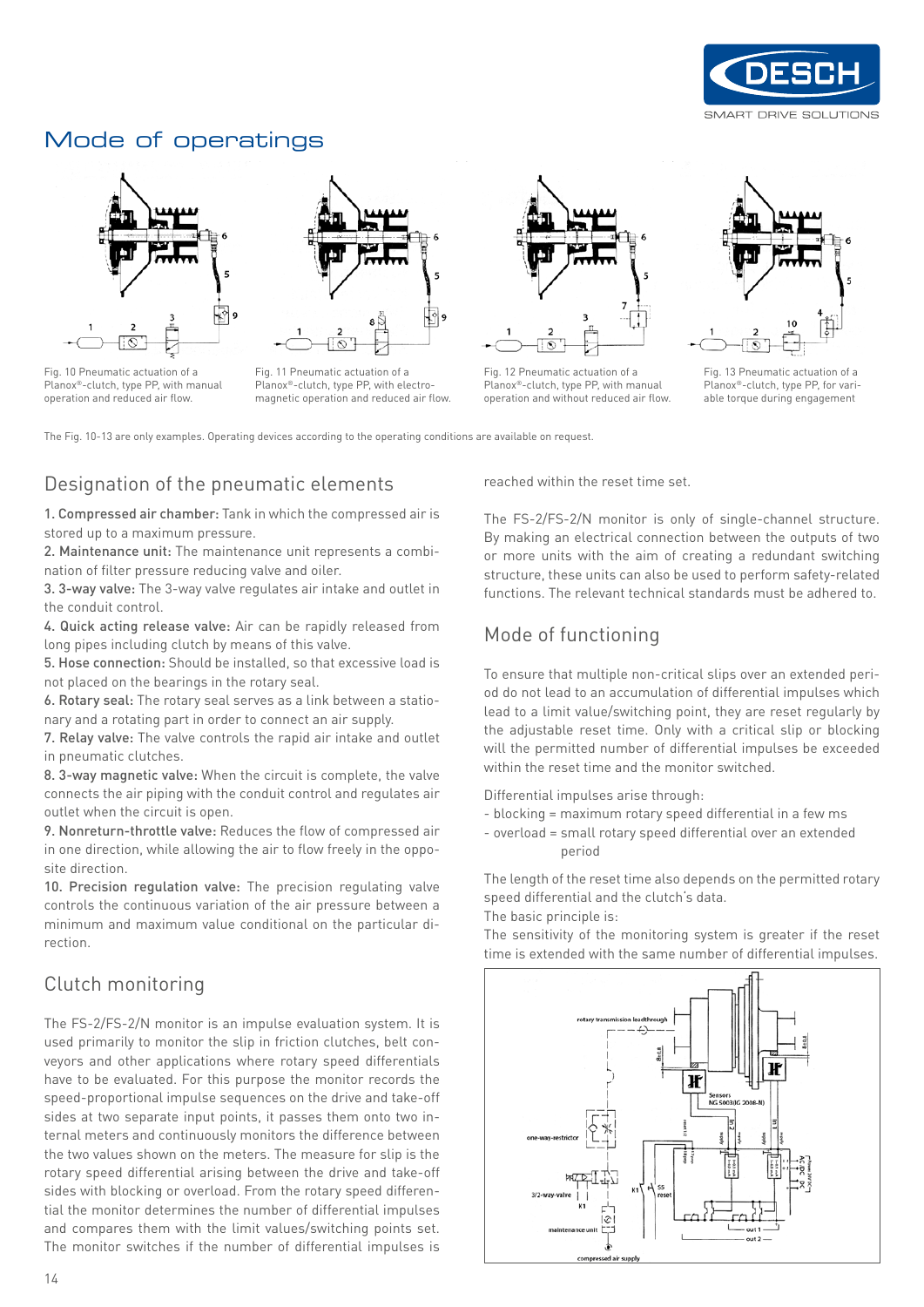

#### Mode of operatings



Fig. 10 Pneumatic actuation of a Planox®-clutch, type PP, with manual operation and reduced air flow.



Fig. 11 Pneumatic actuation of a Planox®-clutch, type PP, with electromagnetic operation and reduced air flow.



Fig. 12 Pneumatic actuation of a Planox®-clutch, type PP, with manual operation and without reduced air flow.



Fig. 13 Pneumatic actuation of a Planox®-clutch, type PP, for variable torque during engagement

The Fig. 10-13 are only examples. Operating devices according to the operating conditions are available on request.

#### Designation of the pneumatic elements

1. Compressed air chamber: Tank in which the compressed air is stored up to a maximum pressure.

2. Maintenance unit: The maintenance unit represents a combination of filter pressure reducing valve and oiler.

3. 3-way valve: The 3-way valve regulates air intake and outlet in the conduit control.

4. Quick acting release valve: Air can be rapidly released from long pipes including clutch by means of this valve.

5. Hose connection: Should be installed, so that excessive load is not placed on the bearings in the rotary seal.

6. Rotary seal: The rotary seal serves as a link between a stationary and a rotating part in order to connect an air supply.

7. Relay valve: The valve controls the rapid air intake and outlet in pneumatic clutches.

8. 3-way magnetic valve: When the circuit is complete, the valve connects the air piping with the conduit control and regulates air outlet when the circuit is open.

9. Nonreturn-throttle valve: Reduces the flow of compressed air in one direction, while allowing the air to flow freely in the opposite direction.

10. Precision regulation valve: The precision regulating valve controls the continuous variation of the air pressure between a minimum and maximum value conditional on the particular direction.

#### Clutch monitoring

The FS-2/FS-2/N monitor is an impulse evaluation system. It is used primarily to monitor the slip in friction clutches, belt conveyors and other applications where rotary speed differentials have to be evaluated. For this purpose the monitor records the speed-proportional impulse sequences on the drive and take-off sides at two separate input points, it passes them onto two internal meters and continuously monitors the difference between the two values shown on the meters. The measure for slip is the rotary speed differential arising between the drive and take-off sides with blocking or overload. From the rotary speed differential the monitor determines the number of differential impulses and compares them with the limit values/switching points set. The monitor switches if the number of differential impulses is reached within the reset time set.

The FS-2/FS-2/N monitor is only of single-channel structure. By making an electrical connection between the outputs of two or more units with the aim of creating a redundant switching structure, these units can also be used to perform safety-related functions. The relevant technical standards must be adhered to.

#### Mode of functioning

To ensure that multiple non-critical slips over an extended period do not lead to an accumulation of differential impulses which lead to a limit value/switching point, they are reset regularly by the adjustable reset time. Only with a critical slip or blocking will the permitted number of differential impulses be exceeded within the reset time and the monitor switched.

Differential impulses arise through:

- blocking = maximum rotary speed differential in a few ms
- overload = small rotary speed differential over an extended period

The length of the reset time also depends on the permitted rotary speed differential and the clutch's data.

The basic principle is:

The sensitivity of the monitoring system is greater if the reset time is extended with the same number of differential impulses.